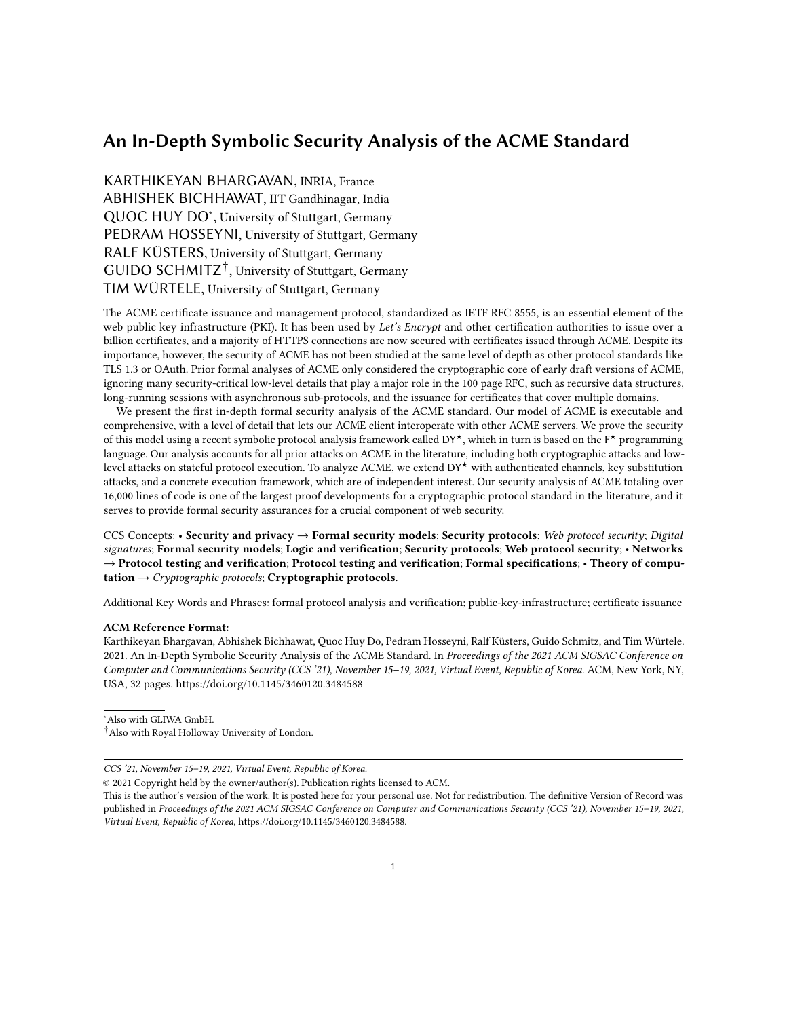# An In-Depth Symbolic Security Analysis of the ACME Standard

KARTHIKEYAN BHARGAVAN, INRIA, France ABHISHEK BICHHAWAT, IIT Gandhinagar, India QUOC HUY DO<sup>\*</sup>, University of Stuttgart, Germany PEDRAM HOSSEYNI, University of Stuttgart, Germany RALF KÜSTERS, University of Stuttgart, Germany [GUIDO SCHMITZ](HTTPS://ORCID.ORG/0000-0002-3776-5475)<sup>†</sup>, University of Stuttgart, Germany TIM WÜRTELE, University of Stuttgart, Germany

The ACME certificate issuance and management protocol, standardized as IETF RFC 8555, is an essential element of the web public key infrastructure (PKI). It has been used by Let's Encrypt and other certification authorities to issue over a billion certificates, and a majority of HTTPS connections are now secured with certificates issued through ACME. Despite its importance, however, the security of ACME has not been studied at the same level of depth as other protocol standards like TLS 1.3 or OAuth. Prior formal analyses of ACME only considered the cryptographic core of early draft versions of ACME, ignoring many security-critical low-level details that play a major role in the 100 page RFC, such as recursive data structures, long-running sessions with asynchronous sub-protocols, and the issuance for certificates that cover multiple domains.

We present the first in-depth formal security analysis of the ACME standard. Our model of ACME is executable and comprehensive, with a level of detail that lets our ACME client interoperate with other ACME servers. We prove the security of this model using a recent symbolic protocol analysis framework called DY<sup>★</sup>, which in turn is based on the F<sup>★</sup> programming language. Our analysis accounts for all prior attacks on ACME in the literature, including both cryptographic attacks and lowlevel attacks on stateful protocol execution. To analyze ACME, we extend DY★ with authenticated channels, key substitution attacks, and a concrete execution framework, which are of independent interest. Our security analysis of ACME totaling over 16,000 lines of code is one of the largest proof developments for a cryptographic protocol standard in the literature, and it serves to provide formal security assurances for a crucial component of web security.

CCS Concepts: • Security and privacy  $\rightarrow$  Formal security models; Security protocols; Web protocol security; Digital signatures; Formal security models; Logic and verification; Security protocols; Web protocol security; • Networks  $\rightarrow$  Protocol testing and verification; Protocol testing and verification; Formal specifications;  $\cdot$  Theory of computation  $\rightarrow$  Cryptographic protocols; Cryptographic protocols.

Additional Key Words and Phrases: formal protocol analysis and verification; public-key-infrastructure; certificate issuance

#### ACM Reference Format:

Karthikeyan Bhargavan, Abhishek Bichhawat, Quoc Huy Do, Pedram Hosseyni, Ralf Küsters, Guido Schmitz, and Tim Würtele. 2021. An In-Depth Symbolic Security Analysis of the ACME Standard. In Proceedings of the 2021 ACM SIGSAC Conference on Computer and Communications Security (CCS '21), November 15–19, 2021, Virtual Event, Republic of Korea. ACM, New York, NY, USA, [32](#page-31-0) pages.<https://doi.org/10.1145/3460120.3484588>

<sup>∗</sup>Also with GLIWA GmbH.

<sup>†</sup>Also with Royal Holloway University of London.

CCS '21, November 15–19, 2021, Virtual Event, Republic of Korea.

<sup>©</sup> 2021 Copyright held by the owner/author(s). Publication rights licensed to ACM.

This is the author's version of the work. It is posted here for your personal use. Not for redistribution. The definitive Version of Record was published in Proceedings of the 2021 ACM SIGSAC Conference on Computer and Communications Security (CCS '21), November 15–19, 2021, Virtual Event, Republic of Korea, [https://doi.org/10.1145/3460120.3484588.](https://doi.org/10.1145/3460120.3484588)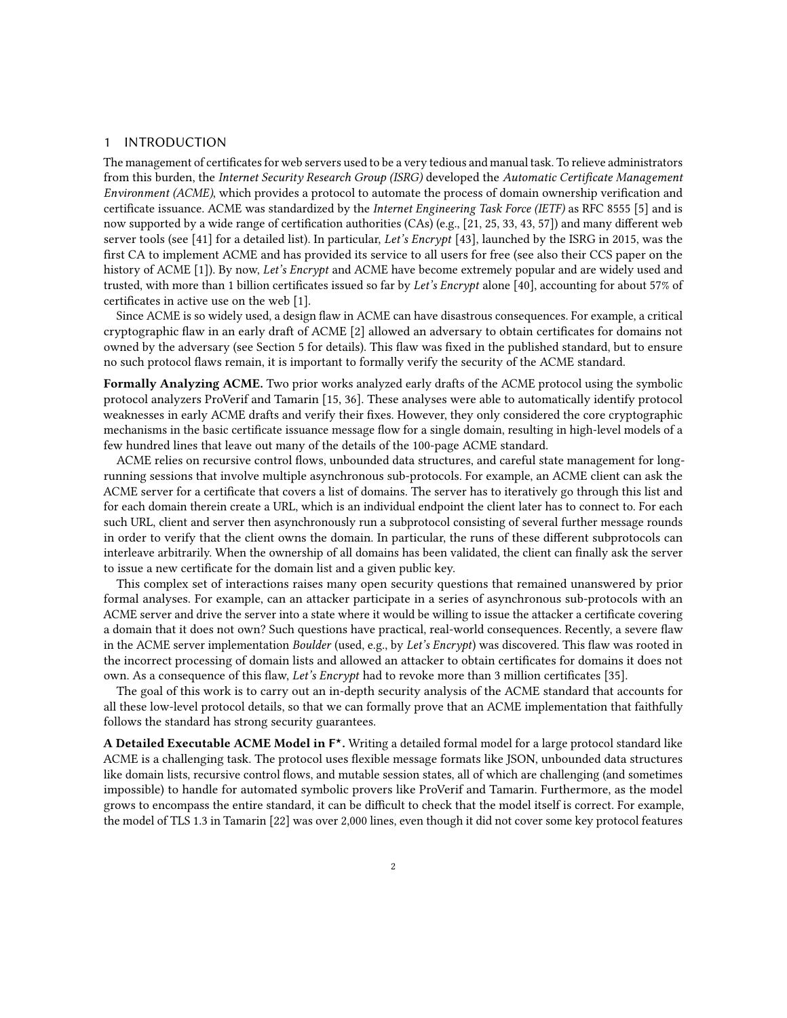### 1 INTRODUCTION

The management of certificates for web servers used to be a very tedious and manual task. To relieve administrators from this burden, the Internet Security Research Group (ISRG) developed the Automatic Certificate Management Environment (ACME), which provides a protocol to automate the process of domain ownership verification and certificate issuance. ACME was standardized by the Internet Engineering Task Force (IETF) as RFC 8555 [\[5\]](#page-22-0) and is now supported by a wide range of certification authorities (CAs) (e.g., [\[21,](#page-23-0) [25,](#page-23-1) [33,](#page-23-2) [43,](#page-24-0) [57\]](#page-24-1)) and many different web server tools (see [\[41\]](#page-24-2) for a detailed list). In particular, Let's Encrypt [\[43\]](#page-24-0), launched by the ISRG in 2015, was the first CA to implement ACME and has provided its service to all users for free (see also their CCS paper on the history of ACME [\[1\]](#page-22-1)). By now, Let's Encrypt and ACME have become extremely popular and are widely used and trusted, with more than 1 billion certificates issued so far by Let's Encrypt alone [\[40\]](#page-24-3), accounting for about 57% of certificates in active use on the web [\[1\]](#page-22-1).

Since ACME is so widely used, a design flaw in ACME can have disastrous consequences. For example, a critical cryptographic flaw in an early draft of ACME [\[2\]](#page-22-2) allowed an adversary to obtain certificates for domains not owned by the adversary (see Section [5](#page-12-0) for details). This flaw was fixed in the published standard, but to ensure no such protocol flaws remain, it is important to formally verify the security of the ACME standard.

Formally Analyzing ACME. Two prior works analyzed early drafts of the ACME protocol using the symbolic protocol analyzers ProVerif and Tamarin [\[15,](#page-23-3) [36\]](#page-24-4). These analyses were able to automatically identify protocol weaknesses in early ACME drafts and verify their fixes. However, they only considered the core cryptographic mechanisms in the basic certificate issuance message flow for a single domain, resulting in high-level models of a few hundred lines that leave out many of the details of the 100-page ACME standard.

ACME relies on recursive control flows, unbounded data structures, and careful state management for longrunning sessions that involve multiple asynchronous sub-protocols. For example, an ACME client can ask the ACME server for a certificate that covers a list of domains. The server has to iteratively go through this list and for each domain therein create a URL, which is an individual endpoint the client later has to connect to. For each such URL, client and server then asynchronously run a subprotocol consisting of several further message rounds in order to verify that the client owns the domain. In particular, the runs of these different subprotocols can interleave arbitrarily. When the ownership of all domains has been validated, the client can finally ask the server to issue a new certificate for the domain list and a given public key.

This complex set of interactions raises many open security questions that remained unanswered by prior formal analyses. For example, can an attacker participate in a series of asynchronous sub-protocols with an ACME server and drive the server into a state where it would be willing to issue the attacker a certificate covering a domain that it does not own? Such questions have practical, real-world consequences. Recently, a severe flaw in the ACME server implementation Boulder (used, e.g., by Let's Encrypt) was discovered. This flaw was rooted in the incorrect processing of domain lists and allowed an attacker to obtain certificates for domains it does not own. As a consequence of this flaw, Let's Encrypt had to revoke more than 3 million certificates [\[35\]](#page-23-4).

The goal of this work is to carry out an in-depth security analysis of the ACME standard that accounts for all these low-level protocol details, so that we can formally prove that an ACME implementation that faithfully follows the standard has strong security guarantees.

A Detailed Executable ACME Model in F\*. Writing a detailed formal model for a large protocol standard like ACME is a challenging task. The protocol uses flexible message formats like JSON, unbounded data structures like domain lists, recursive control flows, and mutable session states, all of which are challenging (and sometimes impossible) to handle for automated symbolic provers like ProVerif and Tamarin. Furthermore, as the model grows to encompass the entire standard, it can be difficult to check that the model itself is correct. For example, the model of TLS 1.3 in Tamarin [\[22\]](#page-23-5) was over 2,000 lines, even though it did not cover some key protocol features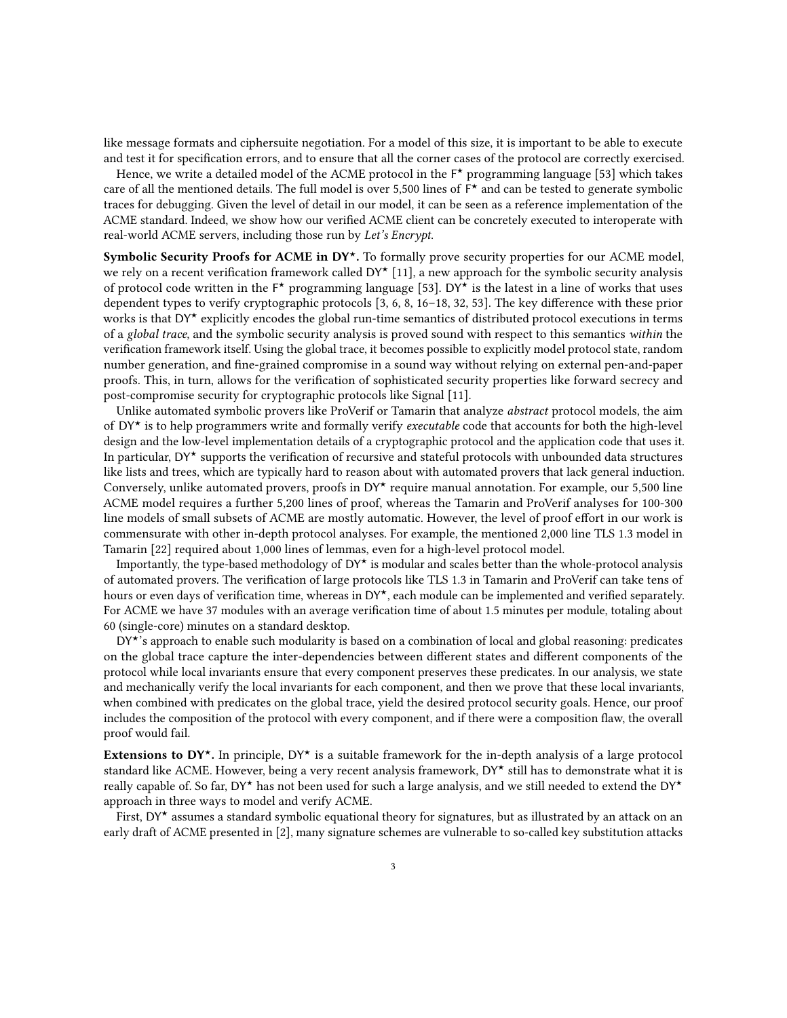like message formats and ciphersuite negotiation. For a model of this size, it is important to be able to execute and test it for specification errors, and to ensure that all the corner cases of the protocol are correctly exercised.

Hence, we write a detailed model of the ACME protocol in the  $F^{\star}$  programming language [\[53\]](#page-24-5) which takes care of all the mentioned details. The full model is over 5,500 lines of  $\overline{F}^{\star}$  and can be tested to generate symbolic traces for debugging. Given the level of detail in our model, it can be seen as a reference implementation of the ACME standard. Indeed, we show how our verified ACME client can be concretely executed to interoperate with real-world ACME servers, including those run by Let's Encrypt.

Symbolic Security Proofs for ACME in DY<sup>\*</sup>. To formally prove security properties for our ACME model, we rely on a recent verification framework called  $DY^*[11]$  $DY^*[11]$ , a new approach for the symbolic security analysis of protocol code written in the  $F^{\star}$  programming language [\[53\]](#page-24-5). DY\* is the latest in a line of works that uses dependent types to verify cryptographic protocols [\[3,](#page-22-4) [6,](#page-22-5) [8,](#page-22-6) [16](#page-23-6)[–18,](#page-23-7) [32,](#page-23-8) [53\]](#page-24-5). The key difference with these prior works is that  $DY^*$  explicitly encodes the global run-time semantics of distributed protocol executions in terms of a global trace, and the symbolic security analysis is proved sound with respect to this semantics within the verification framework itself. Using the global trace, it becomes possible to explicitly model protocol state, random number generation, and fine-grained compromise in a sound way without relying on external pen-and-paper proofs. This, in turn, allows for the verification of sophisticated security properties like forward secrecy and post-compromise security for cryptographic protocols like Signal [\[11\]](#page-22-3).

Unlike automated symbolic provers like ProVerif or Tamarin that analyze abstract protocol models, the aim of DY★ is to help programmers write and formally verify executable code that accounts for both the high-level design and the low-level implementation details of a cryptographic protocol and the application code that uses it. In particular, DY★ supports the verification of recursive and stateful protocols with unbounded data structures like lists and trees, which are typically hard to reason about with automated provers that lack general induction. Conversely, unlike automated provers, proofs in DY★ require manual annotation. For example, our 5,500 line ACME model requires a further 5,200 lines of proof, whereas the Tamarin and ProVerif analyses for 100-300 line models of small subsets of ACME are mostly automatic. However, the level of proof effort in our work is commensurate with other in-depth protocol analyses. For example, the mentioned 2,000 line TLS 1.3 model in Tamarin [\[22\]](#page-23-5) required about 1,000 lines of lemmas, even for a high-level protocol model.

Importantly, the type-based methodology of DY★ is modular and scales better than the whole-protocol analysis of automated provers. The verification of large protocols like TLS 1.3 in Tamarin and ProVerif can take tens of hours or even days of verification time, whereas in DY<sup>★</sup>, each module can be implemented and verified separately. For ACME we have 37 modules with an average verification time of about 1.5 minutes per module, totaling about 60 (single-core) minutes on a standard desktop.

 $DY^*$ 's approach to enable such modularity is based on a combination of local and global reasoning: predicates on the global trace capture the inter-dependencies between different states and different components of the protocol while local invariants ensure that every component preserves these predicates. In our analysis, we state and mechanically verify the local invariants for each component, and then we prove that these local invariants, when combined with predicates on the global trace, yield the desired protocol security goals. Hence, our proof includes the composition of the protocol with every component, and if there were a composition flaw, the overall proof would fail.

Extensions to DY<sup>\*</sup>. In principle, DY<sup>\*</sup> is a suitable framework for the in-depth analysis of a large protocol standard like ACME. However, being a very recent analysis framework, DY★ still has to demonstrate what it is really capable of. So far, DY★ has not been used for such a large analysis, and we still needed to extend the DY★ approach in three ways to model and verify ACME.

First, DY★ assumes a standard symbolic equational theory for signatures, but as illustrated by an attack on an early draft of ACME presented in [\[2\]](#page-22-2), many signature schemes are vulnerable to so-called key substitution attacks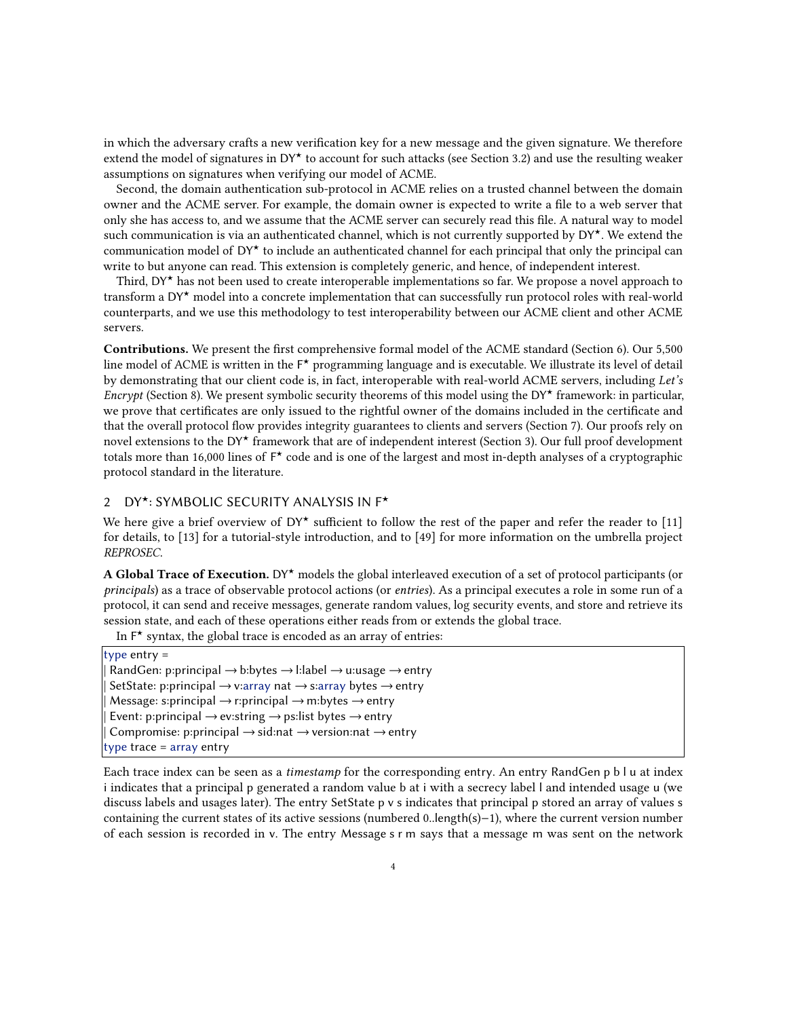in which the adversary crafts a new verification key for a new message and the given signature. We therefore extend the model of signatures in  $DY^*$  to account for such attacks (see Section [3.2\)](#page-8-0) and use the resulting weaker assumptions on signatures when verifying our model of ACME.

Second, the domain authentication sub-protocol in ACME relies on a trusted channel between the domain owner and the ACME server. For example, the domain owner is expected to write a file to a web server that only she has access to, and we assume that the ACME server can securely read this file. A natural way to model such communication is via an authenticated channel, which is not currently supported by DY★. We extend the communication model of  $DY^{\star}$  to include an authenticated channel for each principal that only the principal can write to but anyone can read. This extension is completely generic, and hence, of independent interest.

Third, DY★ has not been used to create interoperable implementations so far. We propose a novel approach to transform a DY★ model into a concrete implementation that can successfully run protocol roles with real-world counterparts, and we use this methodology to test interoperability between our ACME client and other ACME servers.

Contributions. We present the first comprehensive formal model of the ACME standard (Section [6\)](#page-13-0). Our 5,500 line model of ACME is written in the F\* programming language and is executable. We illustrate its level of detail by demonstrating that our client code is, in fact, interoperable with real-world ACME servers, including Let's Encrypt (Section [8\)](#page-20-0). We present symbolic security theorems of this model using the DY<sup>★</sup> framework: in particular, we prove that certificates are only issued to the rightful owner of the domains included in the certificate and that the overall protocol flow provides integrity guarantees to clients and servers (Section [7\)](#page-16-0). Our proofs rely on novel extensions to the DY★ framework that are of independent interest (Section [3\)](#page-7-0). Our full proof development totals more than 16,000 lines of F\* code and is one of the largest and most in-depth analyses of a cryptographic protocol standard in the literature.

## <span id="page-3-0"></span>2 DY★: SYMBOLIC SECURITY ANALYSIS IN F★

We here give a brief overview of  $DY^*$  sufficient to follow the rest of the paper and refer the reader to [\[11\]](#page-22-3) for details, to [\[13\]](#page-22-7) for a tutorial-style introduction, and to [\[49\]](#page-24-6) for more information on the umbrella project REPROSEC.

A Global Trace of Execution. DY★ models the global interleaved execution of a set of protocol participants (or principals) as a trace of observable protocol actions (or entries). As a principal executes a role in some run of a protocol, it can send and receive messages, generate random values, log security events, and store and retrieve its session state, and each of these operations either reads from or extends the global trace.

In  $F^{\star}$  syntax, the global trace is encoded as an array of entries:

type entry =  $Random: principal \rightarrow b:bytes \rightarrow l:label \rightarrow u:usage \rightarrow entry$ SetState: p:principal  $\rightarrow$  v:array nat  $\rightarrow$  s:array bytes  $\rightarrow$  entry Message: s:principal  $\rightarrow$  r:principal  $\rightarrow$  m:bytes  $\rightarrow$  entry Event: p:principal  $\rightarrow$  ev:string  $\rightarrow$  ps:list bytes  $\rightarrow$  entry Compromise: p:principal  $\rightarrow$  sid:nat  $\rightarrow$  version:nat  $\rightarrow$  entry type trace = array entry

Each trace index can be seen as a timestamp for the corresponding entry. An entry RandGen p b l u at index i indicates that a principal p generated a random value b at i with a secrecy label l and intended usage u (we discuss labels and usages later). The entry SetState p v s indicates that principal p stored an array of values s containing the current states of its active sessions (numbered 0..length(s)−1), where the current version number of each session is recorded in v. The entry Message s r m says that a message m was sent on the network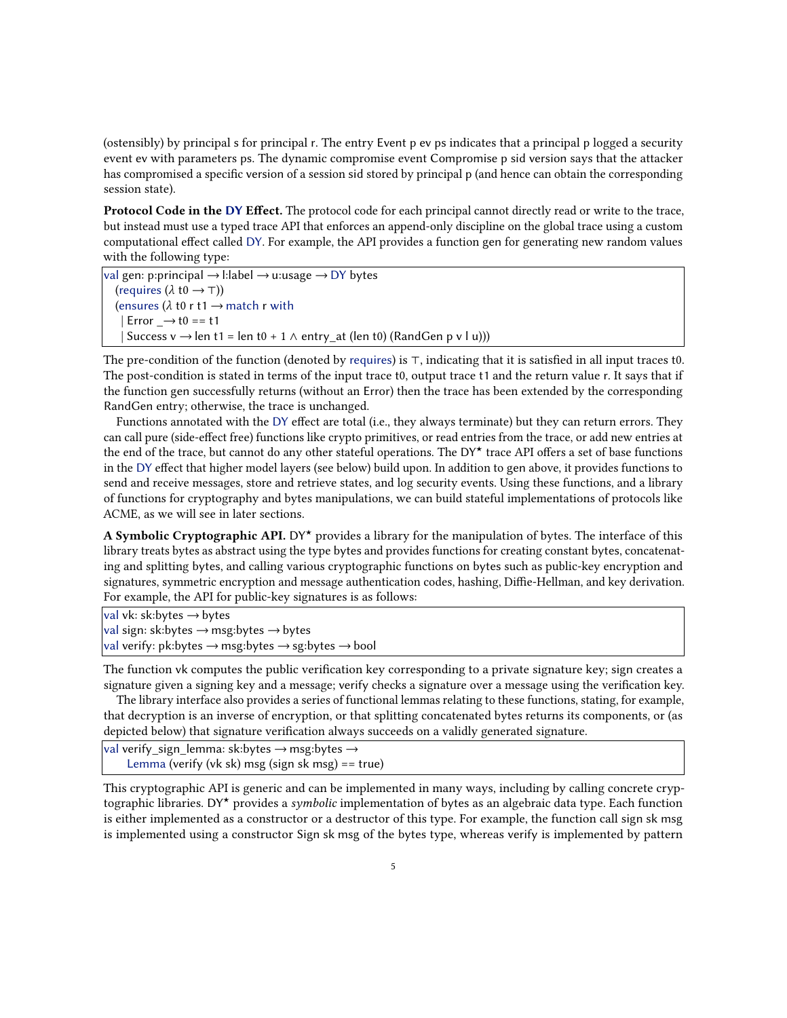(ostensibly) by principal s for principal r. The entry Event p ev ps indicates that a principal p logged a security event ev with parameters ps. The dynamic compromise event Compromise p sid version says that the attacker has compromised a specific version of a session sid stored by principal p (and hence can obtain the corresponding session state).

Protocol Code in the DY Effect. The protocol code for each principal cannot directly read or write to the trace, but instead must use a typed trace API that enforces an append-only discipline on the global trace using a custom computational effect called DY. For example, the API provides a function gen for generating new random values with the following type:

val gen: p:principal → l:label → u:usage → DY bytes (requires  $(\lambda \t{t0} \rightarrow \top)$ ) (ensures ( $\lambda$  t0 r t1  $\rightarrow$  match r with  $| Error \rightarrow t0 == t1$ Success v  $\rightarrow$  len t1 = len t0 + 1  $\land$  entry\_at (len t0) (RandGen p v l u)))

The pre-condition of the function (denoted by requires) is ⊤, indicating that it is satisfied in all input traces t0. The post-condition is stated in terms of the input trace t0, output trace t1 and the return value r. It says that if the function gen successfully returns (without an Error) then the trace has been extended by the corresponding RandGen entry; otherwise, the trace is unchanged.

Functions annotated with the DY effect are total (i.e., they always terminate) but they can return errors. They can call pure (side-effect free) functions like crypto primitives, or read entries from the trace, or add new entries at the end of the trace, but cannot do any other stateful operations. The DY★ trace API offers a set of base functions in the DY effect that higher model layers (see below) build upon. In addition to gen above, it provides functions to send and receive messages, store and retrieve states, and log security events. Using these functions, and a library of functions for cryptography and bytes manipulations, we can build stateful implementations of protocols like ACME, as we will see in later sections.

A Symbolic Cryptographic API. DY<sup>\*</sup> provides a library for the manipulation of bytes. The interface of this library treats bytes as abstract using the type bytes and provides functions for creating constant bytes, concatenating and splitting bytes, and calling various cryptographic functions on bytes such as public-key encryption and signatures, symmetric encryption and message authentication codes, hashing, Diffie-Hellman, and key derivation. For example, the API for public-key signatures is as follows:

val vk: sk:bytes → bytes

```
val sign: sk:bytes → msg:bytes → bytes
```
|val verify: pk:bytes → msg:bytes → sg:bytes → bool

The function vk computes the public verification key corresponding to a private signature key; sign creates a signature given a signing key and a message; verify checks a signature over a message using the verification key.

The library interface also provides a series of functional lemmas relating to these functions, stating, for example, that decryption is an inverse of encryption, or that splitting concatenated bytes returns its components, or (as depicted below) that signature verification always succeeds on a validly generated signature.

```
|val verify_sign_lemma: sk:bytes → msg:bytes →
    Lemma (verify (vk sk) msg (sign sk msg) == true)
```
This cryptographic API is generic and can be implemented in many ways, including by calling concrete cryptographic libraries. DY★ provides a symbolic implementation of bytes as an algebraic data type. Each function is either implemented as a constructor or a destructor of this type. For example, the function call sign sk msg is implemented using a constructor Sign sk msg of the bytes type, whereas verify is implemented by pattern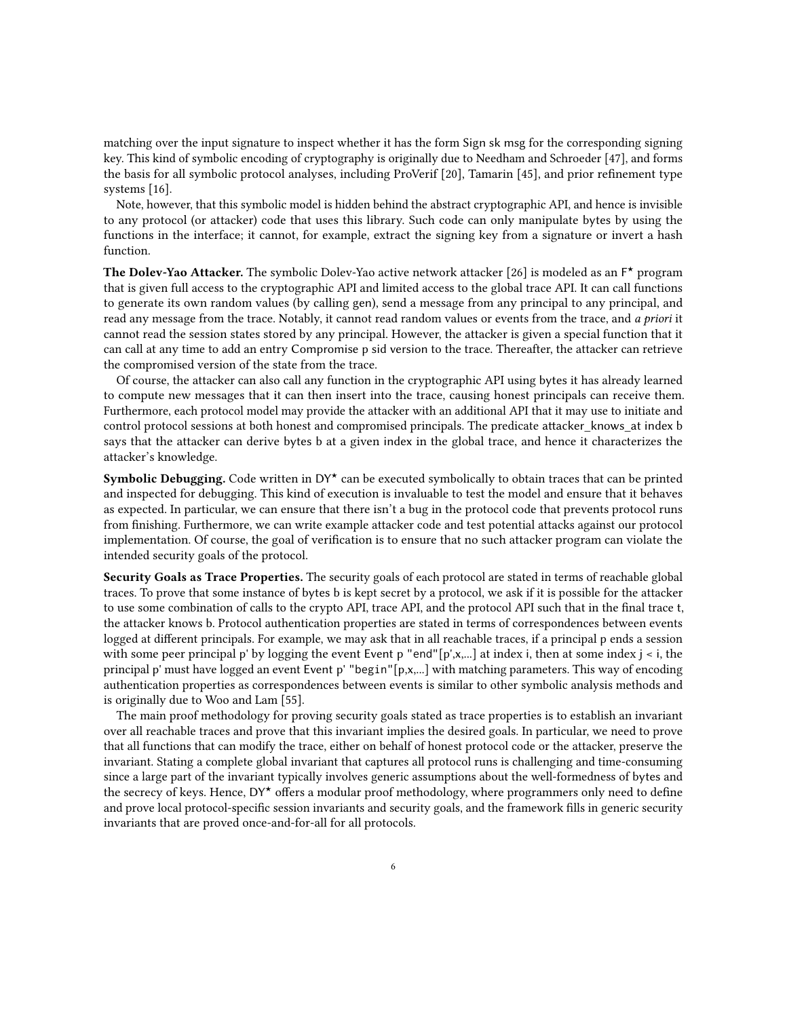matching over the input signature to inspect whether it has the form Sign sk msg for the corresponding signing key. This kind of symbolic encoding of cryptography is originally due to Needham and Schroeder [\[47\]](#page-24-7), and forms the basis for all symbolic protocol analyses, including ProVerif [\[20\]](#page-23-9), Tamarin [\[45\]](#page-24-8), and prior refinement type systems [\[16\]](#page-23-6).

Note, however, that this symbolic model is hidden behind the abstract cryptographic API, and hence is invisible to any protocol (or attacker) code that uses this library. Such code can only manipulate bytes by using the functions in the interface; it cannot, for example, extract the signing key from a signature or invert a hash function.

The Dolev-Yao Attacker. The symbolic Dolev-Yao active network attacker [\[26\]](#page-23-10) is modeled as an F\* program that is given full access to the cryptographic API and limited access to the global trace API. It can call functions to generate its own random values (by calling gen), send a message from any principal to any principal, and read any message from the trace. Notably, it cannot read random values or events from the trace, and a priori it cannot read the session states stored by any principal. However, the attacker is given a special function that it can call at any time to add an entry Compromise p sid version to the trace. Thereafter, the attacker can retrieve the compromised version of the state from the trace.

Of course, the attacker can also call any function in the cryptographic API using bytes it has already learned to compute new messages that it can then insert into the trace, causing honest principals can receive them. Furthermore, each protocol model may provide the attacker with an additional API that it may use to initiate and control protocol sessions at both honest and compromised principals. The predicate attacker knows at index b says that the attacker can derive bytes b at a given index in the global trace, and hence it characterizes the attacker's knowledge.

**Symbolic Debugging.** Code written in  $DY^{\star}$  can be executed symbolically to obtain traces that can be printed and inspected for debugging. This kind of execution is invaluable to test the model and ensure that it behaves as expected. In particular, we can ensure that there isn't a bug in the protocol code that prevents protocol runs from finishing. Furthermore, we can write example attacker code and test potential attacks against our protocol implementation. Of course, the goal of verification is to ensure that no such attacker program can violate the intended security goals of the protocol.

Security Goals as Trace Properties. The security goals of each protocol are stated in terms of reachable global traces. To prove that some instance of bytes b is kept secret by a protocol, we ask if it is possible for the attacker to use some combination of calls to the crypto API, trace API, and the protocol API such that in the final trace t, the attacker knows b. Protocol authentication properties are stated in terms of correspondences between events logged at different principals. For example, we may ask that in all reachable traces, if a principal p ends a session with some peer principal p' by logging the event Event p "end"[p',x,...] at index i, then at some index  $j < i$ , the principal p' must have logged an event Event p' "begin"[p,x,...] with matching parameters. This way of encoding authentication properties as correspondences between events is similar to other symbolic analysis methods and is originally due to Woo and Lam [\[55\]](#page-24-9).

The main proof methodology for proving security goals stated as trace properties is to establish an invariant over all reachable traces and prove that this invariant implies the desired goals. In particular, we need to prove that all functions that can modify the trace, either on behalf of honest protocol code or the attacker, preserve the invariant. Stating a complete global invariant that captures all protocol runs is challenging and time-consuming since a large part of the invariant typically involves generic assumptions about the well-formedness of bytes and the secrecy of keys. Hence, DY★ offers a modular proof methodology, where programmers only need to define and prove local protocol-specific session invariants and security goals, and the framework fills in generic security invariants that are proved once-and-for-all for all protocols.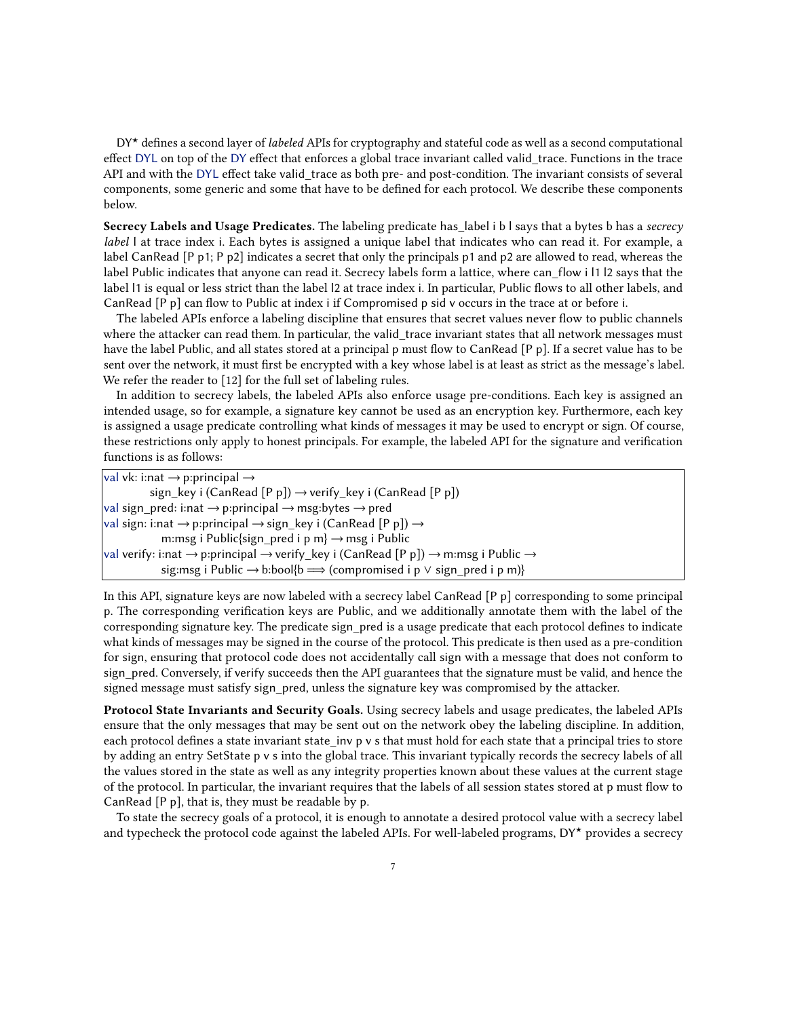DY<sup>\*</sup> defines a second layer of *labeled* APIs for cryptography and stateful code as well as a second computational effect DYL on top of the DY effect that enforces a global trace invariant called valid\_trace. Functions in the trace API and with the DYL effect take valid\_trace as both pre- and post-condition. The invariant consists of several components, some generic and some that have to be defined for each protocol. We describe these components below.

Secrecy Labels and Usage Predicates. The labeling predicate has label i b I says that a bytes b has a secrecy label I at trace index i. Each bytes is assigned a unique label that indicates who can read it. For example, a label CanRead [P p1; P p2] indicates a secret that only the principals p1 and p2 are allowed to read, whereas the label Public indicates that anyone can read it. Secrecy labels form a lattice, where can\_flow i l1 l2 says that the label l1 is equal or less strict than the label l2 at trace index i. In particular, Public flows to all other labels, and CanRead [P p] can flow to Public at index i if Compromised p sid v occurs in the trace at or before i.

The labeled APIs enforce a labeling discipline that ensures that secret values never flow to public channels where the attacker can read them. In particular, the valid trace invariant states that all network messages must have the label Public, and all states stored at a principal p must flow to CanRead [P p]. If a secret value has to be sent over the network, it must first be encrypted with a key whose label is at least as strict as the message's label. We refer the reader to [\[12\]](#page-22-8) for the full set of labeling rules.

In addition to secrecy labels, the labeled APIs also enforce usage pre-conditions. Each key is assigned an intended usage, so for example, a signature key cannot be used as an encryption key. Furthermore, each key is assigned a usage predicate controlling what kinds of messages it may be used to encrypt or sign. Of course, these restrictions only apply to honest principals. For example, the labeled API for the signature and verification functions is as follows:

| val vk: i:nat $\rightarrow$ p:principal $\rightarrow$                                                 |  |
|-------------------------------------------------------------------------------------------------------|--|
| sign_key i (CanRead [P p]) $\rightarrow$ verify_key i (CanRead [P p])                                 |  |
| val sign_pred: i:nat $\rightarrow$ p:principal $\rightarrow$ msg:bytes $\rightarrow$ pred             |  |
| val sign: i:nat $\rightarrow$ p:principal $\rightarrow$ sign_key i (CanRead [P p]) $\rightarrow$      |  |
| m:msg i Public{sign_pred i p m} $\rightarrow$ msg i Public                                            |  |
| val verify: i:nat → p:principal → verify_key i (CanRead [P p]) → m:msg i Public →                     |  |
| sig: msg i Public $\rightarrow$ b: bool{b $\Longrightarrow$ (compromised i p $\lor$ sign_pred i p m)} |  |
|                                                                                                       |  |

In this API, signature keys are now labeled with a secrecy label CanRead [P p] corresponding to some principal p. The corresponding verification keys are Public, and we additionally annotate them with the label of the corresponding signature key. The predicate sign pred is a usage predicate that each protocol defines to indicate what kinds of messages may be signed in the course of the protocol. This predicate is then used as a pre-condition for sign, ensuring that protocol code does not accidentally call sign with a message that does not conform to sign\_pred. Conversely, if verify succeeds then the API guarantees that the signature must be valid, and hence the signed message must satisfy sign pred, unless the signature key was compromised by the attacker.

Protocol State Invariants and Security Goals. Using secrecy labels and usage predicates, the labeled APIs ensure that the only messages that may be sent out on the network obey the labeling discipline. In addition, each protocol defines a state invariant state\_inv p v s that must hold for each state that a principal tries to store by adding an entry SetState p v s into the global trace. This invariant typically records the secrecy labels of all the values stored in the state as well as any integrity properties known about these values at the current stage of the protocol. In particular, the invariant requires that the labels of all session states stored at p must flow to CanRead [P p], that is, they must be readable by p.

To state the secrecy goals of a protocol, it is enough to annotate a desired protocol value with a secrecy label and typecheck the protocol code against the labeled APIs. For well-labeled programs, DY★ provides a secrecy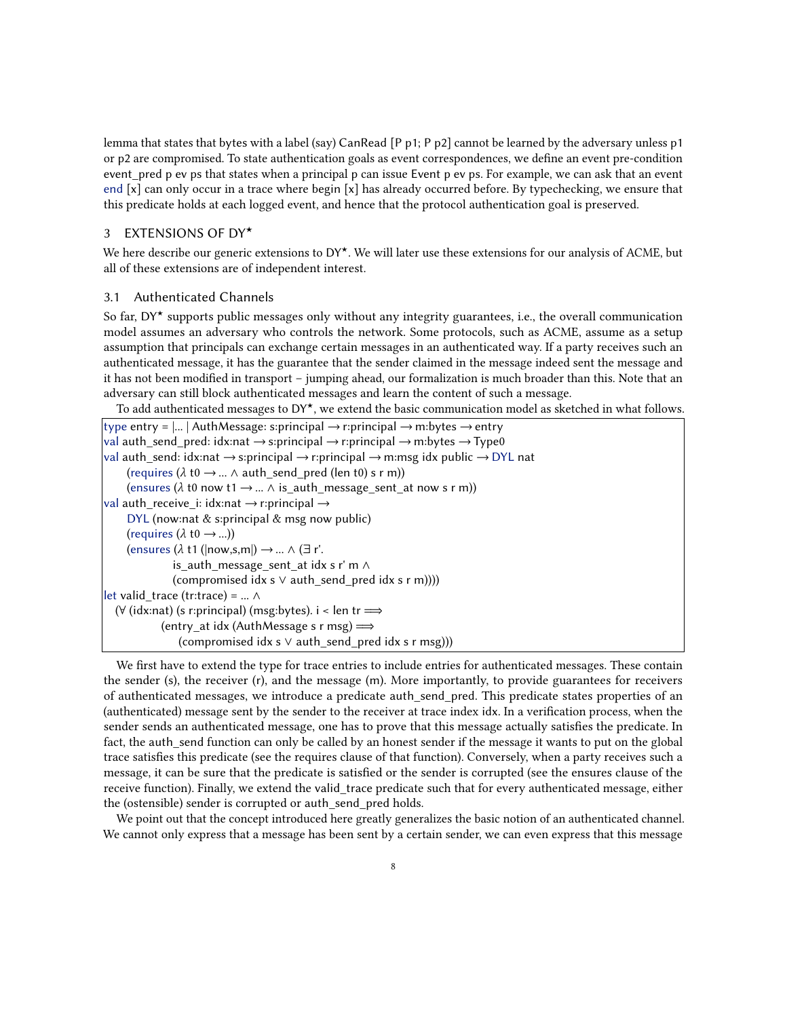lemma that states that bytes with a label (say) CanRead [P p1; P p2] cannot be learned by the adversary unless p1 or p2 are compromised. To state authentication goals as event correspondences, we define an event pre-condition event\_pred p ev ps that states when a principal p can issue Event p ev ps. For example, we can ask that an event end [x] can only occur in a trace where begin [x] has already occurred before. By typechecking, we ensure that this predicate holds at each logged event, and hence that the protocol authentication goal is preserved.

## <span id="page-7-0"></span>3 EXTENSIONS OF DY★

We here describe our generic extensions to DY★. We will later use these extensions for our analysis of ACME, but all of these extensions are of independent interest.

## <span id="page-7-1"></span>3.1 Authenticated Channels

So far, DY\* supports public messages only without any integrity guarantees, i.e., the overall communication model assumes an adversary who controls the network. Some protocols, such as ACME, assume as a setup assumption that principals can exchange certain messages in an authenticated way. If a party receives such an authenticated message, it has the guarantee that the sender claimed in the message indeed sent the message and it has not been modified in transport – jumping ahead, our formalization is much broader than this. Note that an adversary can still block authenticated messages and learn the content of such a message.

To add authenticated messages to DY★, we extend the basic communication model as sketched in what follows.

```
type entry = \vert ... \vert AuthMessage: s:principal \rightarrow r:principal \rightarrow m:bytes \rightarrow entry
val auth_send_pred: idx:nat \rightarrow s:principal \rightarrow r:principal \rightarrow m:bytes \rightarrow Type0
val auth_send: idx:nat \rightarrow s:principal \rightarrow r:principal \rightarrow m:msg idx public \rightarrow DYL nat
     (requires (\lambda t0 \rightarrow ... \land auth_send_pred (len t0) s r m))
     (ensures (\lambda t0 now t1 \rightarrow ... \wedge is_auth_message_sent_at now s r m))
val auth_receive_i: idx:nat \rightarrow r:principal \rightarrowDYL (now:nat & s:principal & msg now public)
     (requires (\lambda \text{ t0} \rightarrow ...)(ensures (\lambda t1 (|now,s,m|) \rightarrow ... \wedge (\exists r'.
                 is_auth_message_sent_at idx s r' m ∧
                 (compromised idx s ∨ auth_send_pred idx s r m))))
\left| \right|let valid trace (tr:trace) = ... ∧
  (\forall (idx:nat) (s r:principal) (msg:bytes). i < len tr \Longrightarrow(entry_at idx (AuthMessage s r msg) \Longrightarrow(compromised idx s ∨ auth_send_pred idx s r msg)))
```
We first have to extend the type for trace entries to include entries for authenticated messages. These contain the sender (s), the receiver (r), and the message (m). More importantly, to provide guarantees for receivers of authenticated messages, we introduce a predicate auth\_send\_pred. This predicate states properties of an (authenticated) message sent by the sender to the receiver at trace index idx. In a verification process, when the sender sends an authenticated message, one has to prove that this message actually satisfies the predicate. In fact, the auth\_send function can only be called by an honest sender if the message it wants to put on the global trace satisfies this predicate (see the requires clause of that function). Conversely, when a party receives such a message, it can be sure that the predicate is satisfied or the sender is corrupted (see the ensures clause of the receive function). Finally, we extend the valid\_trace predicate such that for every authenticated message, either the (ostensible) sender is corrupted or auth send pred holds.

We point out that the concept introduced here greatly generalizes the basic notion of an authenticated channel. We cannot only express that a message has been sent by a certain sender, we can even express that this message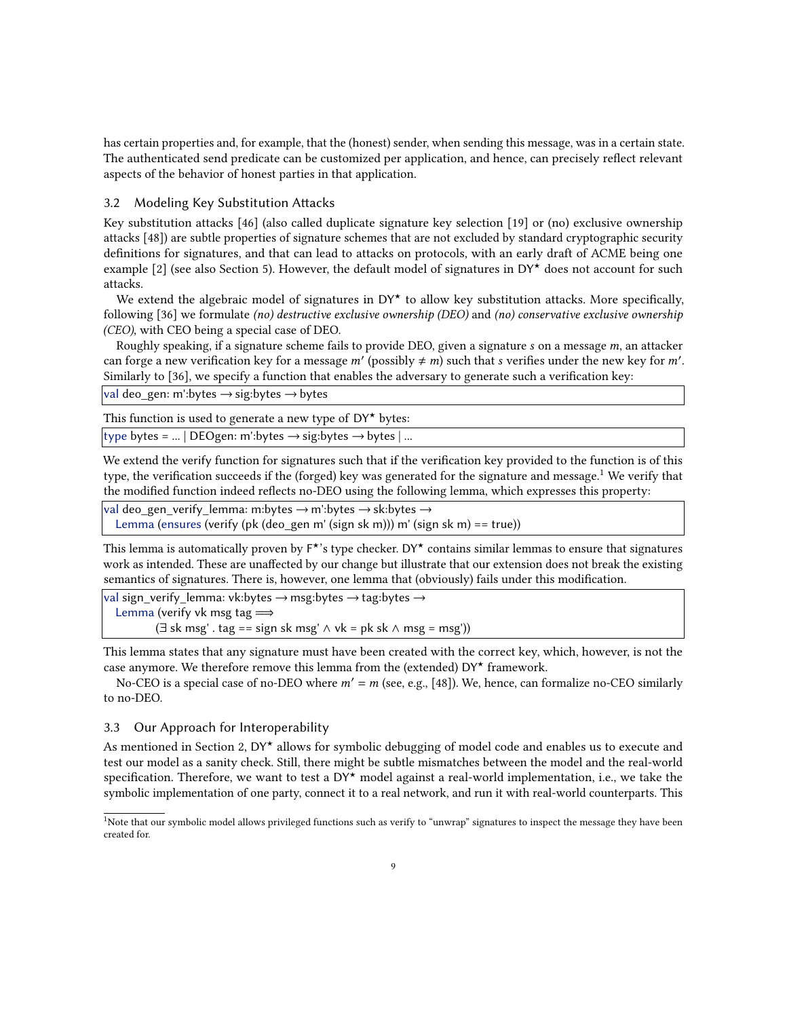has certain properties and, for example, that the (honest) sender, when sending this message, was in a certain state. The authenticated send predicate can be customized per application, and hence, can precisely reflect relevant aspects of the behavior of honest parties in that application.

#### <span id="page-8-0"></span>3.2 Modeling Key Substitution Attacks

Key substitution attacks [\[46\]](#page-24-10) (also called duplicate signature key selection [\[19\]](#page-23-11) or (no) exclusive ownership attacks [\[48\]](#page-24-11)) are subtle properties of signature schemes that are not excluded by standard cryptographic security definitions for signatures, and that can lead to attacks on protocols, with an early draft of ACME being one example [\[2\]](#page-22-2) (see also Section [5\)](#page-12-0). However, the default model of signatures in  $DY^{\star}$  does not account for such attacks.

We extend the algebraic model of signatures in  $DY^*$  to allow key substitution attacks. More specifically, following [\[36\]](#page-24-4) we formulate (no) destructive exclusive ownership (DEO) and (no) conservative exclusive ownership (CEO), with CEO being a special case of DEO.

Roughly speaking, if a signature scheme fails to provide DEO, given a signature  $s$  on a message  $m$ , an attacker can forge a new verification key for a message  $m'$  (possibly  $\neq m$ ) such that s verifies under the new key for m'. Similarly to [\[36\]](#page-24-4), we specify a function that enables the adversary to generate such a verification key:

|val deo\_gen: m':bytes → sig:bytes → bytes

This function is used to generate a new type of  $DY^*$  bytes:

|type bytes = ... | DEOgen: m':bytes → sig:bytes → bytes | ...

We extend the verify function for signatures such that if the verification key provided to the function is of this type, the verification succeeds if the (forged) key was generated for the signature and message.<sup>[1](#page-8-1)</sup> We verify that the modified function indeed reflects no-DEO using the following lemma, which expresses this property:

val deo gen\_verify\_lemma: m:bytes  $\rightarrow$  m':bytes  $\rightarrow$  sk:bytes  $\rightarrow$ 

Lemma (ensures (verify (pk (deo\_gen m' (sign sk m))) m' (sign sk m) == true))

This lemma is automatically proven by  $F^{\star}$ 's type checker. DY $^{\star}$  contains similar lemmas to ensure that signatures work as intended. These are unaffected by our change but illustrate that our extension does not break the existing semantics of signatures. There is, however, one lemma that (obviously) fails under this modification.

val sign\_verify\_lemma: vk:bytes  $\rightarrow$  msg:bytes  $\rightarrow$  tag:bytes  $\rightarrow$ Lemma (verify vk msg tag  $\Longrightarrow$ (∃ sk msg' . tag == sign sk msg'  $\land$  vk = pk sk  $\land$  msg = msg'))

This lemma states that any signature must have been created with the correct key, which, however, is not the case anymore. We therefore remove this lemma from the (extended)  $DY^{\star}$  framework.

No-CEO is a special case of no-DEO where  $m' = m$  (see, e.g., [\[48\]](#page-24-11)). We, hence, can formalize no-CEO similarly to no-DEO.

## <span id="page-8-2"></span>3.3 Our Approach for Interoperability

As mentioned in Section [2,](#page-3-0)  $DY^{\star}$  allows for symbolic debugging of model code and enables us to execute and test our model as a sanity check. Still, there might be subtle mismatches between the model and the real-world specification. Therefore, we want to test a  $DY^{\star}$  model against a real-world implementation, i.e., we take the symbolic implementation of one party, connect it to a real network, and run it with real-world counterparts. This

<span id="page-8-1"></span><sup>&</sup>lt;sup>1</sup>Note that our symbolic model allows privileged functions such as verify to "unwrap" signatures to inspect the message they have been created for.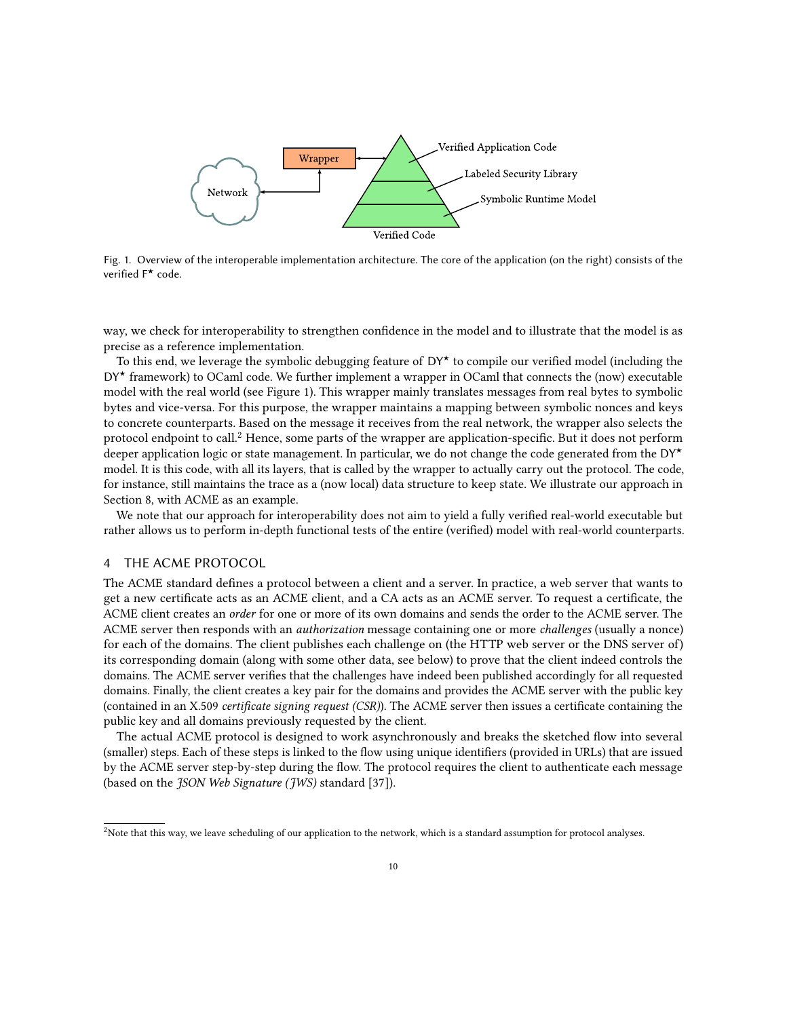<span id="page-9-0"></span>

Fig. 1. Overview of the interoperable implementation architecture. The core of the application (on the right) consists of the verified F★ code.

way, we check for interoperability to strengthen confidence in the model and to illustrate that the model is as precise as a reference implementation.

To this end, we leverage the symbolic debugging feature of  $DY^*$  to compile our verified model (including the  $DY^{\star}$  framework) to OCaml code. We further implement a wrapper in OCaml that connects the (now) executable model with the real world (see Figure [1\)](#page-9-0). This wrapper mainly translates messages from real bytes to symbolic bytes and vice-versa. For this purpose, the wrapper maintains a mapping between symbolic nonces and keys to concrete counterparts. Based on the message it receives from the real network, the wrapper also selects the protocol endpoint to call.<sup>[2](#page-9-1)</sup> Hence, some parts of the wrapper are application-specific. But it does not perform deeper application logic or state management. In particular, we do not change the code generated from the  $DY^{\star}$ model. It is this code, with all its layers, that is called by the wrapper to actually carry out the protocol. The code, for instance, still maintains the trace as a (now local) data structure to keep state. We illustrate our approach in Section [8,](#page-20-0) with ACME as an example.

We note that our approach for interoperability does not aim to yield a fully verified real-world executable but rather allows us to perform in-depth functional tests of the entire (verified) model with real-world counterparts.

#### 4 THE ACME PROTOCOL

The ACME standard defines a protocol between a client and a server. In practice, a web server that wants to get a new certificate acts as an ACME client, and a CA acts as an ACME server. To request a certificate, the ACME client creates an order for one or more of its own domains and sends the order to the ACME server. The ACME server then responds with an authorization message containing one or more challenges (usually a nonce) for each of the domains. The client publishes each challenge on (the HTTP web server or the DNS server of) its corresponding domain (along with some other data, see below) to prove that the client indeed controls the domains. The ACME server verifies that the challenges have indeed been published accordingly for all requested domains. Finally, the client creates a key pair for the domains and provides the ACME server with the public key (contained in an X.509 certificate signing request (CSR)). The ACME server then issues a certificate containing the public key and all domains previously requested by the client.

The actual ACME protocol is designed to work asynchronously and breaks the sketched flow into several (smaller) steps. Each of these steps is linked to the flow using unique identifiers (provided in URLs) that are issued by the ACME server step-by-step during the flow. The protocol requires the client to authenticate each message (based on the JSON Web Signature (JWS) standard [\[37\]](#page-24-12)).

<span id="page-9-1"></span> $<sup>2</sup>$ Note that this way, we leave scheduling of our application to the network, which is a standard assumption for protocol analyses.</sup>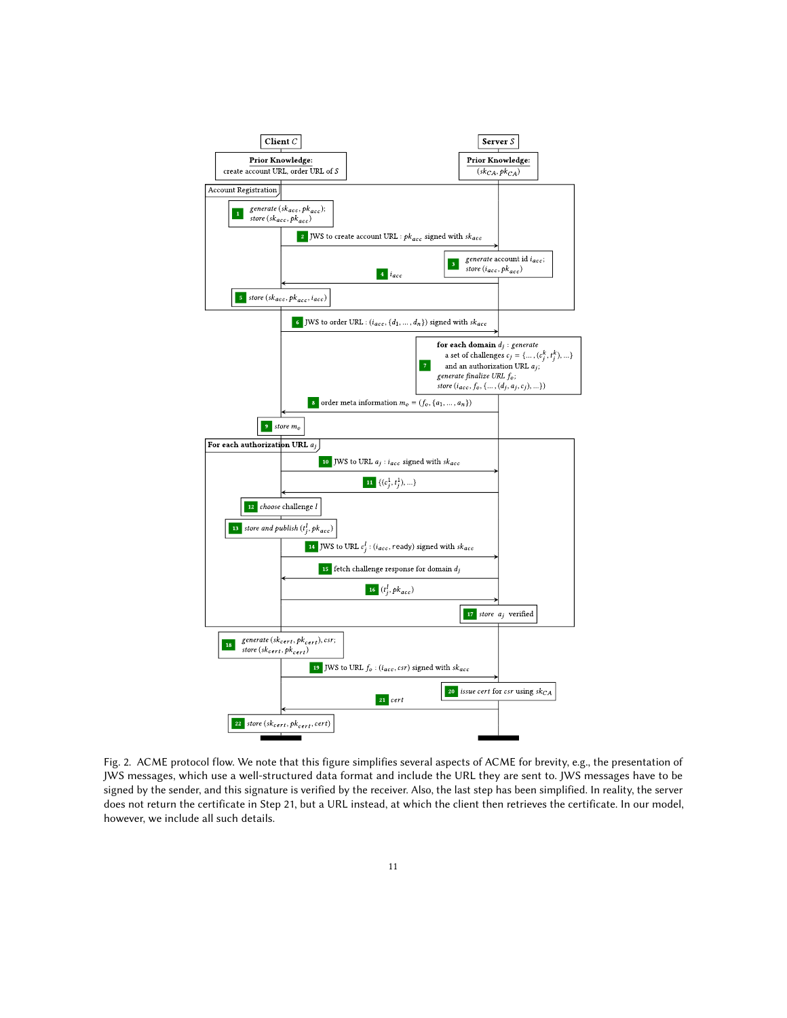<span id="page-10-0"></span>

Fig. 2. ACME protocol flow. We note that this figure simplifies several aspects of ACME for brevity, e.g., the presentation of JWS messages, which use a well-structured data format and include the URL they are sent to. JWS messages have to be signed by the sender, and this signature is verified by the receiver. Also, the last step has been simplified. In reality, the server does not return the certificate in Step 21, but a URL instead, at which the client then retrieves the certificate. In our model, however, we include all such details.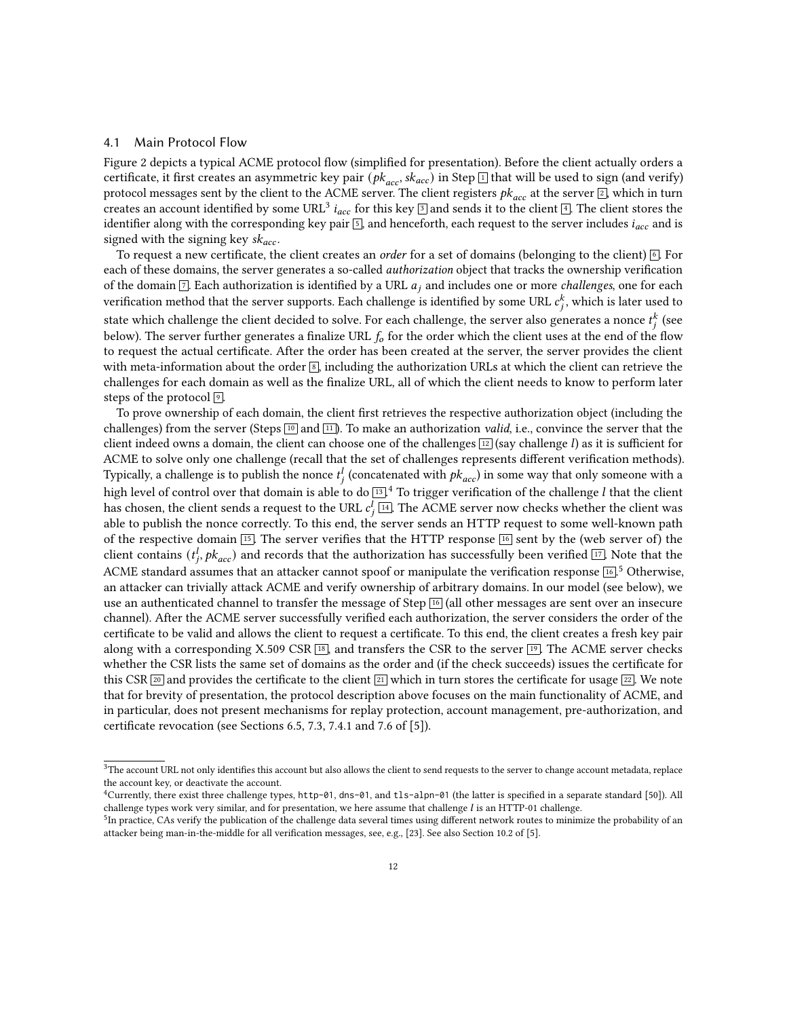#### <span id="page-11-3"></span>4.1 Main Protocol Flow

Figure [2](#page-10-0) depicts a typical ACME protocol flow (simplified for presentation). Before the client actually orders a certificate, it first creates an asymmetric key pair ( $pk_{acc}$ ,  $sk_{acc}$ ) in Step  $\Box$  that will be used to sign (and verify) protocol messages sent by the client to the ACME server. The client registers  $pk_{acc}$  at the server  $[2]$  $[2]$  $[2]$ , which in turn creates an account identified by some URL<sup>[3](#page-10-0)</sup>  $i_{acc}$  for this key  $\boxed{3}$  and sends it to the client  $\boxed{4}$  $\boxed{4}$  $\boxed{4}$ . The client stores the identifier along with the corresponding key pair  $\boxed{5}$  $\boxed{5}$  $\boxed{5}$ , and henceforth, each request to the server includes  $i_{acc}$  and is signed with the signing key  $sk_{acc}$ .

To request a new certificate, the client creates an *order* for a set of domains (belonging to the client)  $\boxed{6}$  $\boxed{6}$  $\boxed{6}$ . For each of these domains, the server generates a so-called authorization object that tracks the ownership verification of the domain  $\boxed{7}$  $\boxed{7}$  $\boxed{7}$ . Each authorization is identified by a URL  $a_j$  and includes one or more *challenges*, one for each verification method that the server supports. Each challenge is identified by some URL  $c_j^k$ , which is later used to state which challenge the client decided to solve. For each challenge, the server also generates a nonce  $t^k_j$  (see below). The server further generates a finalize URL  $f_0$  for the order which the client uses at the end of the flow to request the actual certificate. After the order has been created at the server, the server provides the client with meta-information about the order  $\boxed{8}$  $\boxed{8}$  $\boxed{8}$ , including the authorization URLs at which the client can retrieve the challenges for each domain as well as the finalize URL, all of which the client needs to know to perform later steps of the protocol  $\boxed{9}$  $\boxed{9}$  $\boxed{9}$ .

To prove ownership of each domain, the client first retrieves the respective authorization object (including the challenges) from the server (Steps  $\boxed{10}$  $\boxed{10}$  $\boxed{10}$  and  $\boxed{11}$  $\boxed{11}$  $\boxed{11}$ ). To make an authorization *valid*, i.e., convince the server that the client indeed owns a domain, the client can choose one of the challenges  $\boxed{12}$  $\boxed{12}$  $\boxed{12}$  (say challenge *l*) as it is sufficient for ACME to solve only one challenge (recall that the set of challenges represents different verification methods). Typically, a challenge is to publish the nonce  $t_i^l$  (concatenated with  $pk_{acc}$ ) in some way that only someone with a high level of control over that domain is able to do  $\overline{13}$  $\overline{13}$  $\overline{13}$ .<sup>[4](#page-11-1)</sup> To trigger verification of the challenge *l* that the client has chosen, the client sends a request to the URL  $c_j^l$   $\boxed{14}$  $\boxed{14}$  $\boxed{14}$ . The ACME server now checks whether the client was able to publish the nonce correctly. To this end, the server sends an HTTP request to some well-known path of the respective domain  $\overline{15}$  $\overline{15}$  $\overline{15}$ . The server verifies that the HTTP response  $\overline{16}$  $\overline{16}$  $\overline{16}$  sent by the (web server of) the client contains ( $t_i^l$ ,  $pk_{acc}$ ) and records that the authorization has successfully been verified  $\boxed{17}$  $\boxed{17}$  $\boxed{17}$ . Note that the ACME standard assumes that an attacker cannot spoof or manipulate the verification response  $\overline{16}$  $\overline{16}$  $\overline{16}$ ,  $\overline{5}$  $\overline{5}$  $\overline{5}$  Otherwise, an attacker can trivially attack ACME and verify ownership of arbitrary domains. In our model (see below), we use an authenticated channel to transfer the message of Step [16](#page-10-0) (all other messages are sent over an insecure channel). After the ACME server successfully verified each authorization, the server considers the order of the certificate to be valid and allows the client to request a certificate. To this end, the client creates a fresh key pair along with a corresponding X.509 CSR  $\overline{18}$  $\overline{18}$  $\overline{18}$ , and transfers the CSR to the server  $\overline{19}$  $\overline{19}$  $\overline{19}$ . The ACME server checks whether the CSR lists the same set of domains as the order and (if the check succeeds) issues the certificate for this CSR  $\boxed{20}$  $\boxed{20}$  $\boxed{20}$  and provides the certificate to the client  $\boxed{21}$  $\boxed{21}$  $\boxed{21}$  which in turn stores the certificate for usage  $\boxed{22}$  $\boxed{22}$  $\boxed{22}$ . We note that for brevity of presentation, the protocol description above focuses on the main functionality of ACME, and in particular, does not present mechanisms for replay protection, account management, pre-authorization, and certificate revocation (see Sections 6.5, 7.3, 7.4.1 and 7.6 of [\[5\]](#page-22-0)).

<span id="page-11-0"></span><sup>&</sup>lt;sup>3</sup>The account URL not only identifies this account but also allows the client to send requests to the server to change account metadata, replace the account key, or deactivate the account.

<span id="page-11-1"></span><sup>&</sup>lt;sup>4</sup>Currently, there exist three challenge types, http-01, dns-01, and t1s-alpn-01 (the latter is specified in a separate standard [\[50\]](#page-24-13)). All challenge types work very similar, and for presentation, we here assume that challenge  $l$  is an HTTP-01 challenge.

<span id="page-11-2"></span><sup>&</sup>lt;sup>5</sup>In practice. CAs verify the publication of the challenge data several times using different network routes to minimize the probability of an attacker being man-in-the-middle for all verification messages, see, e.g., [\[23\]](#page-23-12). See also Section 10.2 of [\[5\]](#page-22-0).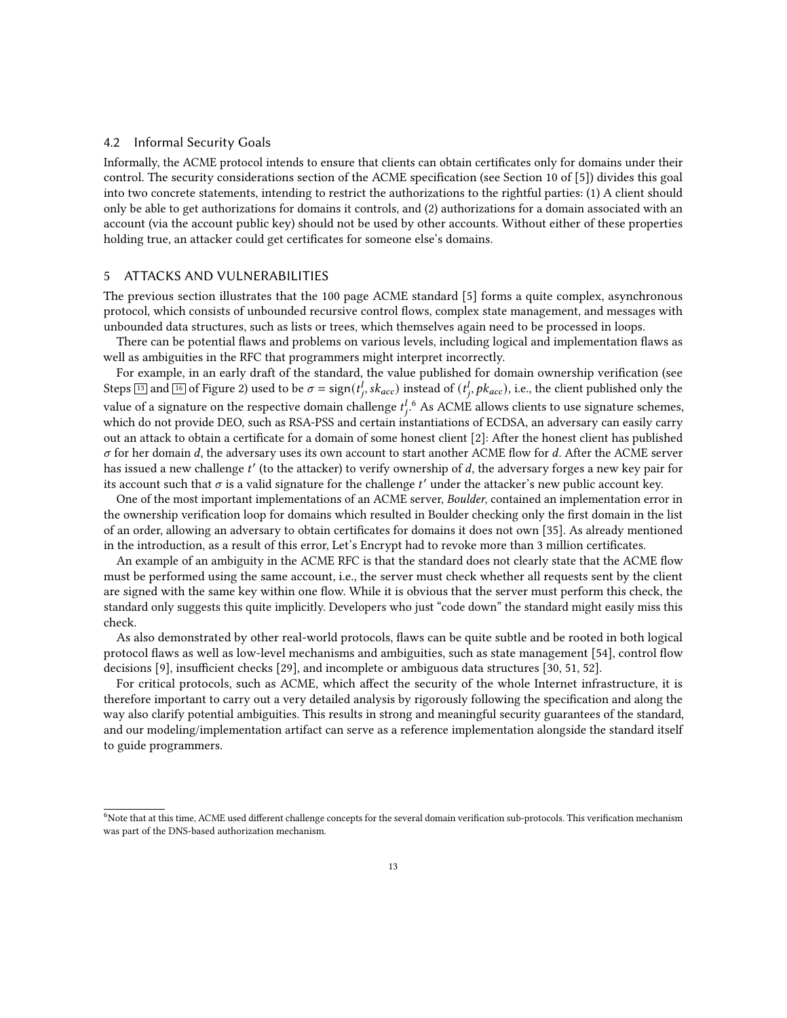#### <span id="page-12-2"></span>4.2 Informal Security Goals

Informally, the ACME protocol intends to ensure that clients can obtain certificates only for domains under their control. The security considerations section of the ACME specification (see Section 10 of [\[5\]](#page-22-0)) divides this goal into two concrete statements, intending to restrict the authorizations to the rightful parties: (1) A client should only be able to get authorizations for domains it controls, and (2) authorizations for a domain associated with an account (via the account public key) should not be used by other accounts. Without either of these properties holding true, an attacker could get certificates for someone else's domains.

## <span id="page-12-0"></span>5 ATTACKS AND VULNERABILITIES

The previous section illustrates that the 100 page ACME standard [\[5\]](#page-22-0) forms a quite complex, asynchronous protocol, which consists of unbounded recursive control flows, complex state management, and messages with unbounded data structures, such as lists or trees, which themselves again need to be processed in loops.

There can be potential flaws and problems on various levels, including logical and implementation flaws as well as ambiguities in the RFC that programmers might interpret incorrectly.

For example, in an early draft of the standard, the value published for domain ownership verification (see Steps  $\boxed{13}$  $\boxed{13}$  $\boxed{13}$  and  $\boxed{16}$  $\boxed{16}$  $\boxed{16}$  of Figure [2\)](#page-10-0) used to be  $\sigma = sign(t_1^l, sk_{acc})$  instead of  $(t_1^l, pk_{acc})$ , i.e., the client published only the value of a signature on the respective domain challenge  $t^{l}_{i}$ . As ACME allows clients to use signature schemes, which do not provide DEO, such as RSA-PSS and certain instantiations of ECDSA, an adversary can easily carry out an attack to obtain a certificate for a domain of some honest client [\[2\]](#page-22-2): After the honest client has published  $\sigma$  for her domain d, the adversary uses its own account to start another ACME flow for d. After the ACME server has issued a new challenge t' (to the attacker) to verify ownership of d, the adversary forges a new key pair for its account such that  $\sigma$  is a valid signature for the challenge t' under the attacker's new public account key.

One of the most important implementations of an ACME server, Boulder, contained an implementation error in the ownership verification loop for domains which resulted in Boulder checking only the first domain in the list of an order, allowing an adversary to obtain certificates for domains it does not own [\[35\]](#page-23-4). As already mentioned in the introduction, as a result of this error, Let's Encrypt had to revoke more than 3 million certificates.

An example of an ambiguity in the ACME RFC is that the standard does not clearly state that the ACME flow must be performed using the same account, i.e., the server must check whether all requests sent by the client are signed with the same key within one flow. While it is obvious that the server must perform this check, the standard only suggests this quite implicitly. Developers who just "code down" the standard might easily miss this check.

As also demonstrated by other real-world protocols, flaws can be quite subtle and be rooted in both logical protocol flaws as well as low-level mechanisms and ambiguities, such as state management [\[54\]](#page-24-14), control flow decisions [\[9\]](#page-22-9), insufficient checks [\[29\]](#page-23-13), and incomplete or ambiguous data structures [\[30,](#page-23-14) [51,](#page-24-15) [52\]](#page-24-16).

For critical protocols, such as ACME, which affect the security of the whole Internet infrastructure, it is therefore important to carry out a very detailed analysis by rigorously following the specification and along the way also clarify potential ambiguities. This results in strong and meaningful security guarantees of the standard, and our modeling/implementation artifact can serve as a reference implementation alongside the standard itself to guide programmers.

<span id="page-12-1"></span><sup>&</sup>lt;sup>6</sup>Note that at this time, ACME used different challenge concepts for the several domain verification sub-protocols. This verification mechanism was part of the DNS-based authorization mechanism.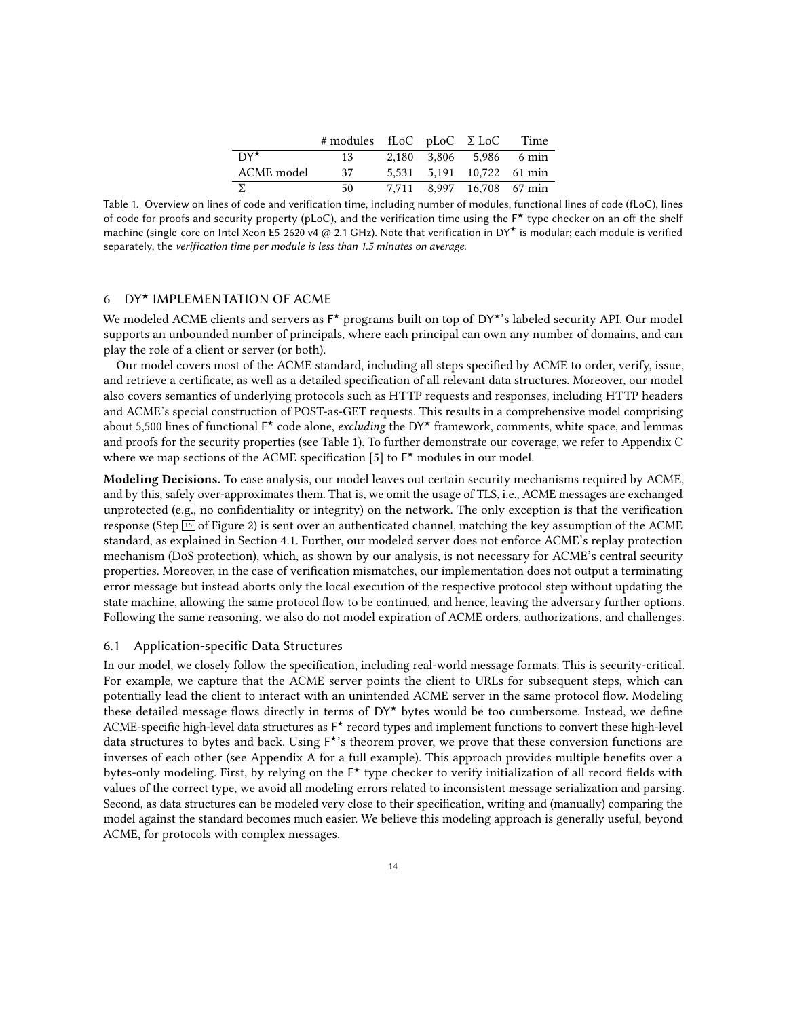|              | $#$ modules fLoC pLoC $\Sigma$ LoC Time |  |                           |
|--------------|-----------------------------------------|--|---------------------------|
| $DY^{\star}$ | 13                                      |  | 2.180 3.806 5.986 6 min   |
| ACME model   | 37                                      |  | 5,531 5,191 10,722 61 min |
| $\sum$       | 50.                                     |  | 7,711 8,997 16,708 67 min |

<span id="page-13-1"></span>Table 1. Overview on lines of code and verification time, including number of modules, functional lines of code (fLoC), lines of code for proofs and security property (pLoC), and the verification time using the F★ type checker on an off-the-shelf machine (single-core on Intel Xeon E5-2620 v4 @ 2.1 GHz). Note that verification in DY★ is modular; each module is verified separately, the verification time per module is less than 1.5 minutes on average.

## <span id="page-13-0"></span>6 DY★ IMPLEMENTATION OF ACME

We modeled ACME clients and servers as F\* programs built on top of DY\*'s labeled security API. Our model supports an unbounded number of principals, where each principal can own any number of domains, and can play the role of a client or server (or both).

Our model covers most of the ACME standard, including all steps specified by ACME to order, verify, issue, and retrieve a certificate, as well as a detailed specification of all relevant data structures. Moreover, our model also covers semantics of underlying protocols such as HTTP requests and responses, including HTTP headers and ACME's special construction of POST-as-GET requests. This results in a comprehensive model comprising about 5,500 lines of functional F<sup>\*</sup> code alone, excluding the DY<sup>\*</sup> framework, comments, white space, and lemmas and proofs for the security properties (see Table [1\)](#page-13-1). To further demonstrate our coverage, we refer to Appendix [C](#page-31-1) where we map sections of the ACME specification [\[5\]](#page-22-0) to F<sup>\*</sup> modules in our model.

Modeling Decisions. To ease analysis, our model leaves out certain security mechanisms required by ACME, and by this, safely over-approximates them. That is, we omit the usage of TLS, i.e., ACME messages are exchanged unprotected (e.g., no confidentiality or integrity) on the network. The only exception is that the verification response (Step  $\overline{16}$  $\overline{16}$  $\overline{16}$  of Figure [2\)](#page-10-0) is sent over an authenticated channel, matching the key assumption of the ACME standard, as explained in Section [4.1.](#page-11-3) Further, our modeled server does not enforce ACME's replay protection mechanism (DoS protection), which, as shown by our analysis, is not necessary for ACME's central security properties. Moreover, in the case of verification mismatches, our implementation does not output a terminating error message but instead aborts only the local execution of the respective protocol step without updating the state machine, allowing the same protocol flow to be continued, and hence, leaving the adversary further options. Following the same reasoning, we also do not model expiration of ACME orders, authorizations, and challenges.

### <span id="page-13-2"></span>6.1 Application-specific Data Structures

In our model, we closely follow the specification, including real-world message formats. This is security-critical. For example, we capture that the ACME server points the client to URLs for subsequent steps, which can potentially lead the client to interact with an unintended ACME server in the same protocol flow. Modeling these detailed message flows directly in terms of  $DY^{\star}$  bytes would be too cumbersome. Instead, we define ACME-specific high-level data structures as F ★ record types and implement functions to convert these high-level data structures to bytes and back. Using F ★'s theorem prover, we prove that these conversion functions are inverses of each other (see Appendix [A](#page-25-0) for a full example). This approach provides multiple benefits over a bytes-only modeling. First, by relying on the F<sup>\*</sup> type checker to verify initialization of all record fields with values of the correct type, we avoid all modeling errors related to inconsistent message serialization and parsing. Second, as data structures can be modeled very close to their specification, writing and (manually) comparing the model against the standard becomes much easier. We believe this modeling approach is generally useful, beyond ACME, for protocols with complex messages.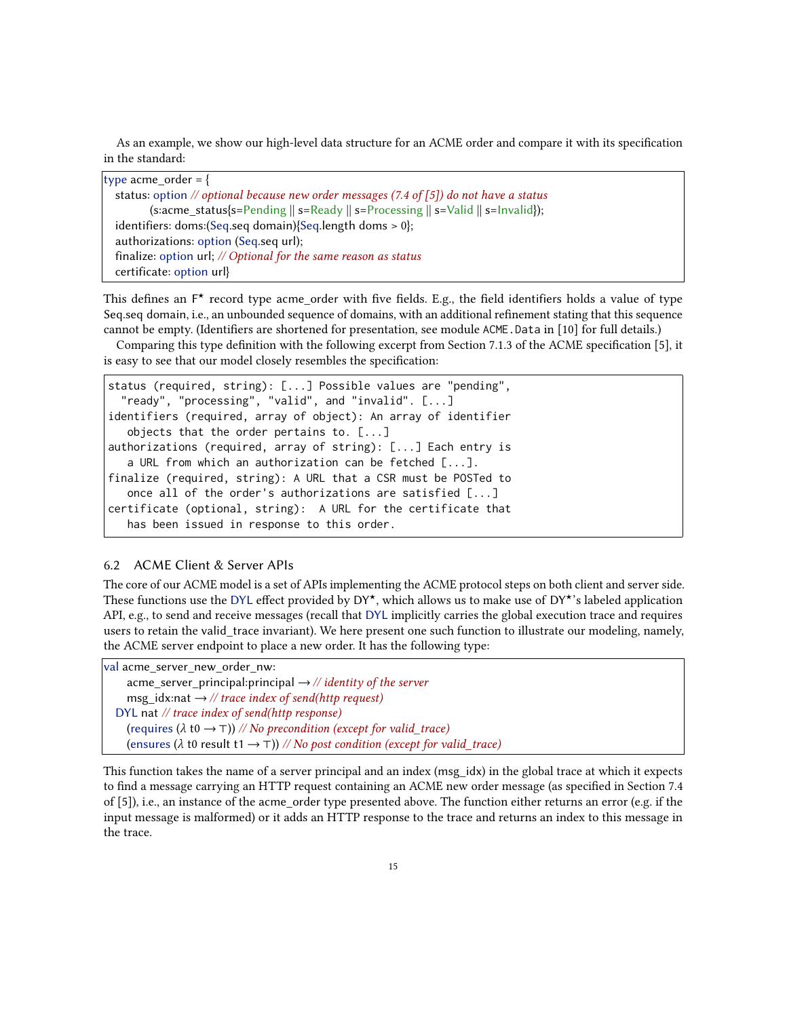As an example, we show our high-level data structure for an ACME order and compare it with its specification in the standard:

| type acme order = $\{$                                                                                             |
|--------------------------------------------------------------------------------------------------------------------|
| status: option // optional because new order messages (7.4 of [5]) do not have a status                            |
| (s:acme_status{s=Pending $\parallel$ s=Ready $\parallel$ s=Processing $\parallel$ s=Valid $\parallel$ s=Invalid}); |
| identifiers: doms: (Seq. seq domain) {Seq. length doms $> 0$ };                                                    |
| authorizations: option (Seq.seq url);                                                                              |
| finalize: option url; $//$ Optional for the same reason as status                                                  |
| certificate: option url}                                                                                           |

This defines an F<sup>\*</sup> record type acme\_order with five fields. E.g., the field identifiers holds a value of type Seq.seq domain, i.e., an unbounded sequence of domains, with an additional refinement stating that this sequence cannot be empty. (Identifiers are shortened for presentation, see module ACME.Data in [\[10\]](#page-22-10) for full details.)

Comparing this type definition with the following excerpt from Section 7.1.3 of the ACME specification [\[5\]](#page-22-0), it is easy to see that our model closely resembles the specification:

```
status (required, string): [...] Possible values are "pending",
  "ready", "processing", "valid", and "invalid". [...]
identifiers (required, array of object): An array of identifier
   objects that the order pertains to. [...]
authorizations (required, array of string): [...] Each entry is
   a URL from which an authorization can be fetched [...].
finalize (required, string): A URL that a CSR must be POSTed to
  once all of the order's authorizations are satisfied [...]
certificate (optional, string): A URL for the certificate that
   has been issued in response to this order.
```
## <span id="page-14-0"></span>6.2 ACME Client & Server APIs

The core of our ACME model is a set of APIs implementing the ACME protocol steps on both client and server side. These functions use the DYL effect provided by DY★, which allows us to make use of DY★'s labeled application API, e.g., to send and receive messages (recall that DYL implicitly carries the global execution trace and requires users to retain the valid trace invariant). We here present one such function to illustrate our modeling, namely, the ACME server endpoint to place a new order. It has the following type:

```
val acme server new order nw:
     acme server principal: principal \rightarrow // identity of the server
     msg_idx:nat \rightarrow // trace index of send(http request)
  DYL nat // trace index of send(http response)
     (requires (\lambda t0 \rightarrow ⊤)) // No precondition (except for valid_trace)
     (ensures (\lambda t0 result t1 \rightarrow ⊤)) // No post condition (except for valid trace)
```
This function takes the name of a server principal and an index (msg\_idx) in the global trace at which it expects to find a message carrying an HTTP request containing an ACME new order message (as specified in Section 7.4 of [\[5\]](#page-22-0)), i.e., an instance of the acme\_order type presented above. The function either returns an error (e.g. if the input message is malformed) or it adds an HTTP response to the trace and returns an index to this message in the trace.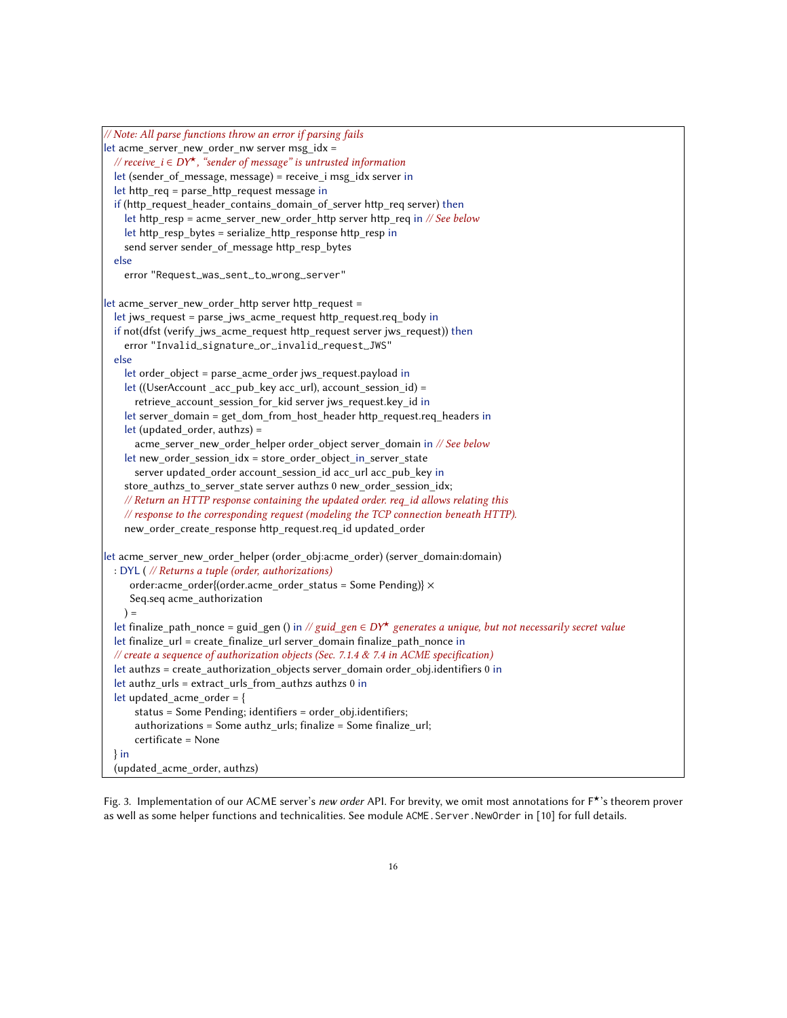```
// Note: All parse functions throw an error if parsing fails
let acme_server_new_order_nw server msg_idx =
 // receive_i \in DY<sup>*</sup>, "sender of message" is untrusted information
  let (sender of message, message) = receive i msg_idx server in
  let http_req = parse_http_request message in
  if (http_request_header_contains_domain_of_server http_req server) then
    let http_resp = acme_server_new_order_http server http_req in // See below
    let http_resp_bytes = serialize_http_response http_resp in
    send server sender_of_message http_resp_bytes
  else
    error "Request␣was␣sent␣to␣wrong␣server"
let acme_server_new_order_http server http_request =
  let jws_request = parse_jws_acme_request http_request.req_body in
  if not(dfst (verify_jws_acme_request http_request server jws_request)) then
    error "Invalid␣signature␣or␣invalid␣request␣JWS"
  else
    let order_object = parse_acme_order jws_request.payload in
    let ((UserAccount _acc_pub_key acc_url), account_session_id) =
      retrieve_account_session_for_kid server jws_request.key_id in
    let server_domain = get_dom_from_host_header http_request.req_headers in
    let (updated order, authzs) =
      acme_server_new_order_helper order_object server_domain in // See below
    let new order session idx = store order object in server state
      server updated_order account_session_id acc_url acc_pub_key in
    store_authzs_to_server_state server authzs 0 new_order_session_idx;
    // Return an HTTP response containing the updated order. req_id allows relating this
    // response to the corresponding request (modeling the TCP connection beneath HTTP).
    new_order_create_response http_request.req_id updated_order
let acme_server_new_order_helper (order_obj:acme_order) (server_domain:domain)
 : DYL ( // Returns a tuple (order, authorizations)
     order:acme_order{(order.acme_order_status = Some Pending)} ×
     Seq.seq acme_authorization
    ) =let finalize_path_nonce = guid_gen () in // guid_gen \in DY^{\star} generates a unique, but not necessarily secret value
  let finalize url = create finalize url server domain finalize path nonce in
  // create a sequence of authorization objects (Sec. 7.1.4 & 7.4 in ACME specification)
  let authzs = create_authorization_objects server_domain order_obj.identifiers 0 in
  let authz_urls = extract_urls_from_authzs authzs 0 in
  let updated_acme_order = {
      status = Some Pending; identifiers = order_obj.identifiers;
      authorizations = Some authz_urls; finalize = Some finalize_url;
      certificate = None
  } in
  (updated_acme_order, authzs)
```
Fig. 3. Implementation of our ACME server's new order API. For brevity, we omit most annotations for F<sup>★</sup>'s theorem prover as well as some helper functions and technicalities. See module ACME.Server.NewOrder in [\[10\]](#page-22-10) for full details.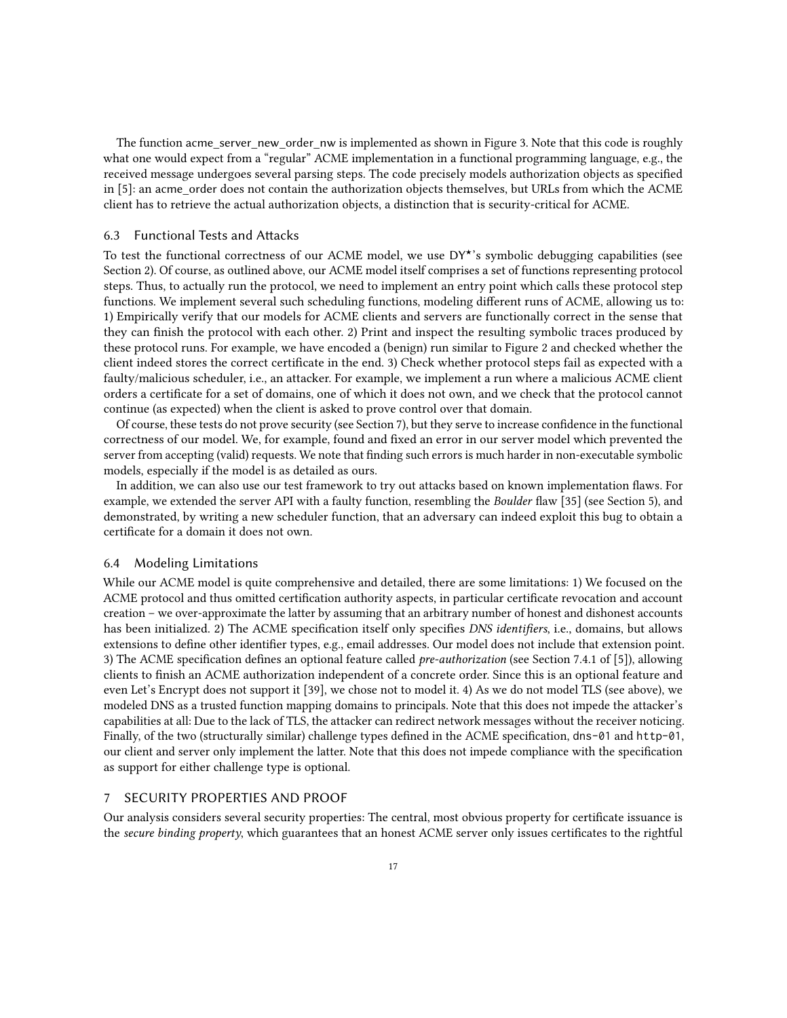The function acme\_server\_new\_order\_nw is implemented as shown in Figure [3.](#page-15-0) Note that this code is roughly what one would expect from a "regular" ACME implementation in a functional programming language, e.g., the received message undergoes several parsing steps. The code precisely models authorization objects as specified in [\[5\]](#page-22-0): an acme\_order does not contain the authorization objects themselves, but URLs from which the ACME client has to retrieve the actual authorization objects, a distinction that is security-critical for ACME.

#### <span id="page-16-1"></span>6.3 Functional Tests and Attacks

To test the functional correctness of our ACME model, we use  $DY^*$ 's symbolic debugging capabilities (see Section [2\)](#page-3-0). Of course, as outlined above, our ACME model itself comprises a set of functions representing protocol steps. Thus, to actually run the protocol, we need to implement an entry point which calls these protocol step functions. We implement several such scheduling functions, modeling different runs of ACME, allowing us to: 1) Empirically verify that our models for ACME clients and servers are functionally correct in the sense that they can finish the protocol with each other. 2) Print and inspect the resulting symbolic traces produced by these protocol runs. For example, we have encoded a (benign) run similar to Figure [2](#page-10-0) and checked whether the client indeed stores the correct certificate in the end. 3) Check whether protocol steps fail as expected with a faulty/malicious scheduler, i.e., an attacker. For example, we implement a run where a malicious ACME client orders a certificate for a set of domains, one of which it does not own, and we check that the protocol cannot continue (as expected) when the client is asked to prove control over that domain.

Of course, these tests do not prove security (see Section [7\)](#page-16-0), but they serve to increase confidence in the functional correctness of our model. We, for example, found and fixed an error in our server model which prevented the server from accepting (valid) requests. We note that finding such errors is much harder in non-executable symbolic models, especially if the model is as detailed as ours.

In addition, we can also use our test framework to try out attacks based on known implementation flaws. For example, we extended the server API with a faulty function, resembling the Boulder flaw [\[35\]](#page-23-4) (see Section [5\)](#page-12-0), and demonstrated, by writing a new scheduler function, that an adversary can indeed exploit this bug to obtain a certificate for a domain it does not own.

#### <span id="page-16-2"></span>6.4 Modeling Limitations

While our ACME model is quite comprehensive and detailed, there are some limitations: 1) We focused on the ACME protocol and thus omitted certification authority aspects, in particular certificate revocation and account creation – we over-approximate the latter by assuming that an arbitrary number of honest and dishonest accounts has been initialized. 2) The ACME specification itself only specifies DNS identifiers, i.e., domains, but allows extensions to define other identifier types, e.g., email addresses. Our model does not include that extension point. 3) The ACME specification defines an optional feature called pre-authorization (see Section 7.4.1 of [\[5\]](#page-22-0)), allowing clients to finish an ACME authorization independent of a concrete order. Since this is an optional feature and even Let's Encrypt does not support it [\[39\]](#page-24-17), we chose not to model it. 4) As we do not model TLS (see above), we modeled DNS as a trusted function mapping domains to principals. Note that this does not impede the attacker's capabilities at all: Due to the lack of TLS, the attacker can redirect network messages without the receiver noticing. Finally, of the two (structurally similar) challenge types defined in the ACME specification, dns-01 and http-01, our client and server only implement the latter. Note that this does not impede compliance with the specification as support for either challenge type is optional.

### <span id="page-16-0"></span>7 SECURITY PROPERTIES AND PROOF

Our analysis considers several security properties: The central, most obvious property for certificate issuance is the secure binding property, which guarantees that an honest ACME server only issues certificates to the rightful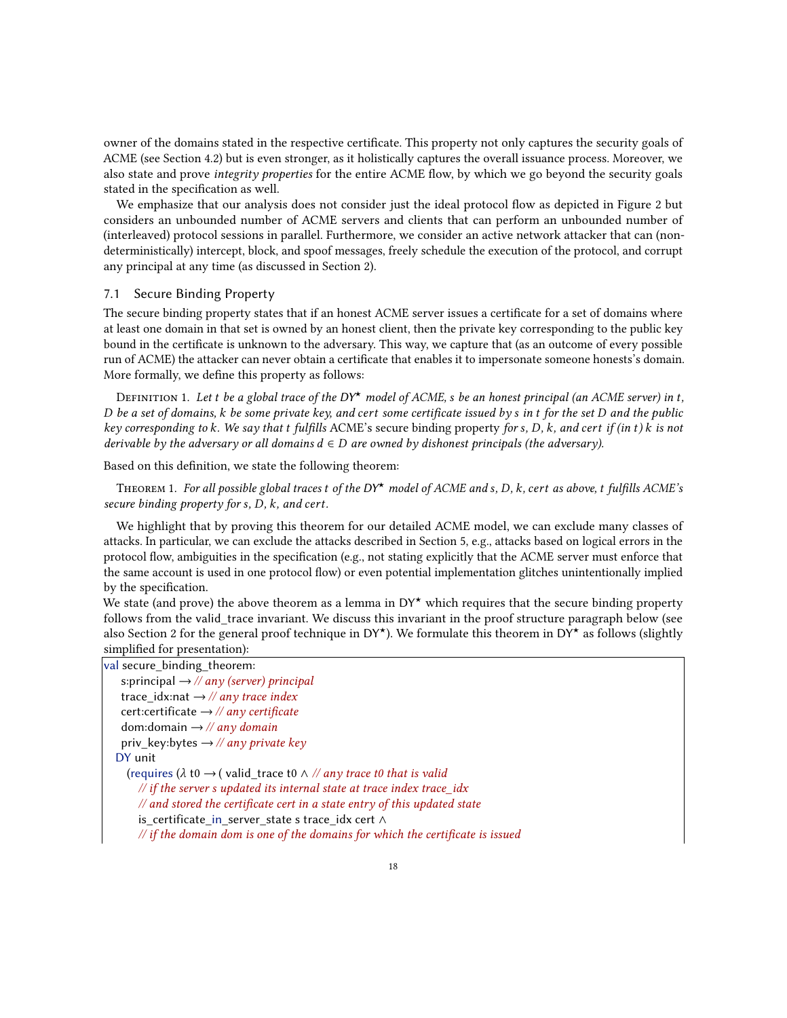owner of the domains stated in the respective certificate. This property not only captures the security goals of ACME (see Section [4.2\)](#page-12-2) but is even stronger, as it holistically captures the overall issuance process. Moreover, we also state and prove integrity properties for the entire ACME flow, by which we go beyond the security goals stated in the specification as well.

We emphasize that our analysis does not consider just the ideal protocol flow as depicted in Figure [2](#page-10-0) but considers an unbounded number of ACME servers and clients that can perform an unbounded number of (interleaved) protocol sessions in parallel. Furthermore, we consider an active network attacker that can (nondeterministically) intercept, block, and spoof messages, freely schedule the execution of the protocol, and corrupt any principal at any time (as discussed in Section [2\)](#page-3-0).

#### <span id="page-17-0"></span>7.1 Secure Binding Property

The secure binding property states that if an honest ACME server issues a certificate for a set of domains where at least one domain in that set is owned by an honest client, then the private key corresponding to the public key bound in the certificate is unknown to the adversary. This way, we capture that (as an outcome of every possible run of ACME) the attacker can never obtain a certificate that enables it to impersonate someone honests's domain. More formally, we define this property as follows:

DEFINITION 1. Let t be a global trace of the DY<sup>\*</sup> model of ACME, s be an honest principal (an ACME server) in t, D be a set of domains,  $k$  be some private key, and cert some certificate issued by  $s$  in  $t$  for the set  $D$  and the public key corresponding to k. We say that  $t$  fulfills ACME's secure binding property for s, D, k, and cert if (in t) k is not derivable by the adversary or all domains  $d \in D$  are owned by dishonest principals (the adversary).

Based on this definition, we state the following theorem:

THEOREM 1. For all possible global traces t of the DY<sup>\*</sup> model of ACME and s, D, k, cert as above, t fulfills ACME's secure binding property for  $s$ ,  $D$ ,  $k$ , and cert.

We highlight that by proving this theorem for our detailed ACME model, we can exclude many classes of attacks. In particular, we can exclude the attacks described in Section [5,](#page-12-0) e.g., attacks based on logical errors in the protocol flow, ambiguities in the specification (e.g., not stating explicitly that the ACME server must enforce that the same account is used in one protocol flow) or even potential implementation glitches unintentionally implied by the specification.

We state (and prove) the above theorem as a lemma in  $DY^{\star}$  which requires that the secure binding property follows from the valid\_trace invariant. We discuss this invariant in the proof structure paragraph below (see also Section [2](#page-3-0) for the general proof technique in DY<sup>★</sup>). We formulate this theorem in DY<sup>★</sup> as follows (slightly simplified for presentation):

| val secure_binding_theorem:                                                                  |  |
|----------------------------------------------------------------------------------------------|--|
| s: principal $\rightarrow$ // any (server) principal                                         |  |
| trace_idx:nat $\rightarrow$ // any trace index                                               |  |
| cert:certificate $\rightarrow$ // any certificate                                            |  |
| dom: domain $\rightarrow$ // any domain                                                      |  |
| priv_key:bytes $\rightarrow$ // any private key                                              |  |
| DY unit                                                                                      |  |
| (requires ( $\lambda$ t0 $\rightarrow$ (valid_trace t0 $\land$ // any trace t0 that is valid |  |
| $\frac{1}{\pi}$ if the server s updated its internal state at trace index trace idx          |  |
| $\mathcal{N}$ and stored the certificate cert in a state entry of this updated state         |  |
| is certificate in server state s trace idx cert $\wedge$                                     |  |
| $\#$ if the domain dom is one of the domains for which the certificate is issued             |  |
|                                                                                              |  |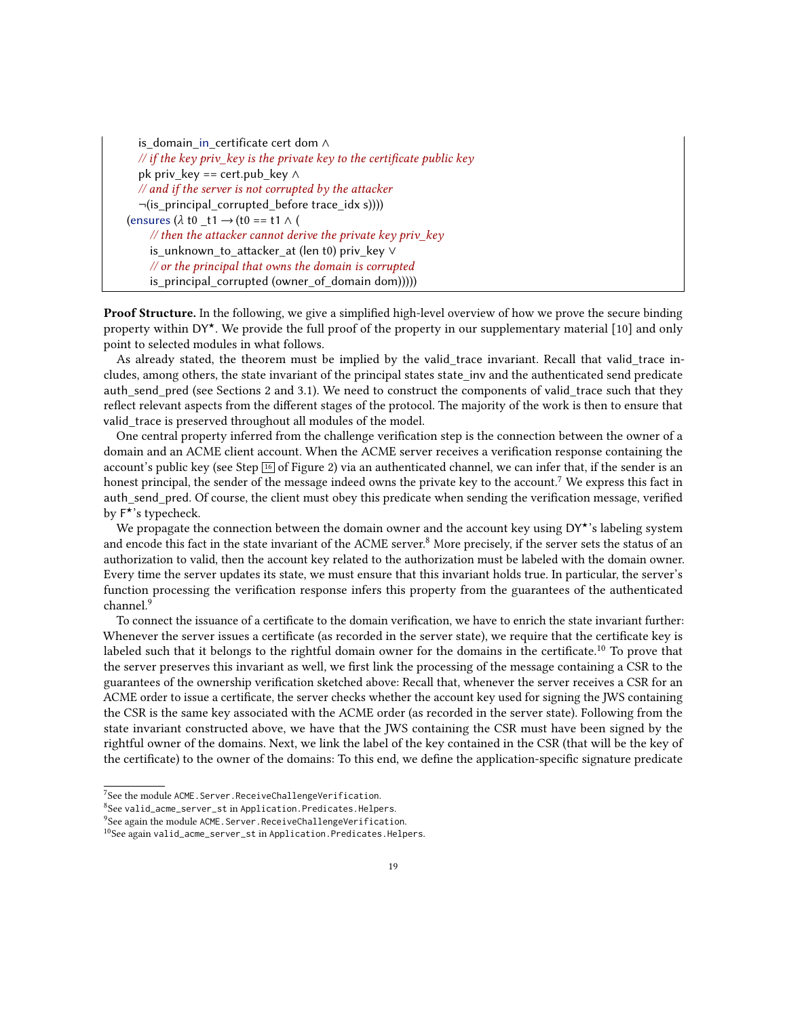| is domain in certificate cert dom A                                           |
|-------------------------------------------------------------------------------|
| // if the key priv_key is the private key to the certificate public key       |
| pk priv_key == cert.pub_key $\wedge$                                          |
| // and if the server is not corrupted by the attacker                         |
| $\neg(is_principal_corrupted_before trace_idx s)))$                           |
| (ensures $(\lambda \text{ t0 } t1 \rightarrow (t0 == t1 \land t))$            |
| $\frac{1}{\sqrt{2}}$ then the attacker cannot derive the private key priv key |
| is_unknown_to_attacker_at (len t0) priv_key V                                 |
| // or the principal that owns the domain is corrupted                         |
| is_principal_corrupted (owner_of_domain dom)))))                              |

<span id="page-18-4"></span>**Proof Structure.** In the following, we give a simplified high-level overview of how we prove the secure binding property within  $DY^{\star}$ . We provide the full proof of the property in our supplementary material [\[10\]](#page-22-10) and only point to selected modules in what follows.

As already stated, the theorem must be implied by the valid trace invariant. Recall that valid trace includes, among others, the state invariant of the principal states state\_inv and the authenticated send predicate auth send pred (see Sections [2](#page-3-0) and [3.1\)](#page-7-1). We need to construct the components of valid trace such that they reflect relevant aspects from the different stages of the protocol. The majority of the work is then to ensure that valid trace is preserved throughout all modules of the model.

One central property inferred from the challenge verification step is the connection between the owner of a domain and an ACME client account. When the ACME server receives a verification response containing the account's public key (see Step  $\boxed{16}$  $\boxed{16}$  $\boxed{16}$  of Figure [2\)](#page-10-0) via an authenticated channel, we can infer that, if the sender is an honest principal, the sender of the message indeed owns the private key to the account.<sup>[7](#page-18-0)</sup> We express this fact in auth send pred. Of course, the client must obey this predicate when sending the verification message, verified by  $F^{\overline{\star}}$ 's typecheck.

We propagate the connection between the domain owner and the account key using  $DY^*$ 's labeling system and encode this fact in the state invariant of the ACME server.<sup>[8](#page-18-1)</sup> More precisely, if the server sets the status of an authorization to valid, then the account key related to the authorization must be labeled with the domain owner. Every time the server updates its state, we must ensure that this invariant holds true. In particular, the server's function processing the verification response infers this property from the guarantees of the authenticated channel.<sup>[9](#page-18-2)</sup>

To connect the issuance of a certificate to the domain verification, we have to enrich the state invariant further: Whenever the server issues a certificate (as recorded in the server state), we require that the certificate key is labeled such that it belongs to the rightful domain owner for the domains in the certificate.<sup>[10](#page-18-3)</sup> To prove that the server preserves this invariant as well, we first link the processing of the message containing a CSR to the guarantees of the ownership verification sketched above: Recall that, whenever the server receives a CSR for an ACME order to issue a certificate, the server checks whether the account key used for signing the JWS containing the CSR is the same key associated with the ACME order (as recorded in the server state). Following from the state invariant constructed above, we have that the JWS containing the CSR must have been signed by the rightful owner of the domains. Next, we link the label of the key contained in the CSR (that will be the key of the certificate) to the owner of the domains: To this end, we define the application-specific signature predicate

<span id="page-18-0"></span><sup>&</sup>lt;sup>7</sup>See the module ACME. Server. ReceiveChallengeVerification.

<span id="page-18-1"></span><sup>8</sup>See valid\_acme\_server\_st in Application.Predicates.Helpers.

<span id="page-18-2"></span><sup>&</sup>lt;sup>9</sup>See again the module ACME. Server. ReceiveChallengeVerification.

<span id="page-18-3"></span><sup>10</sup>See again valid\_acme\_server\_st in Application.Predicates.Helpers.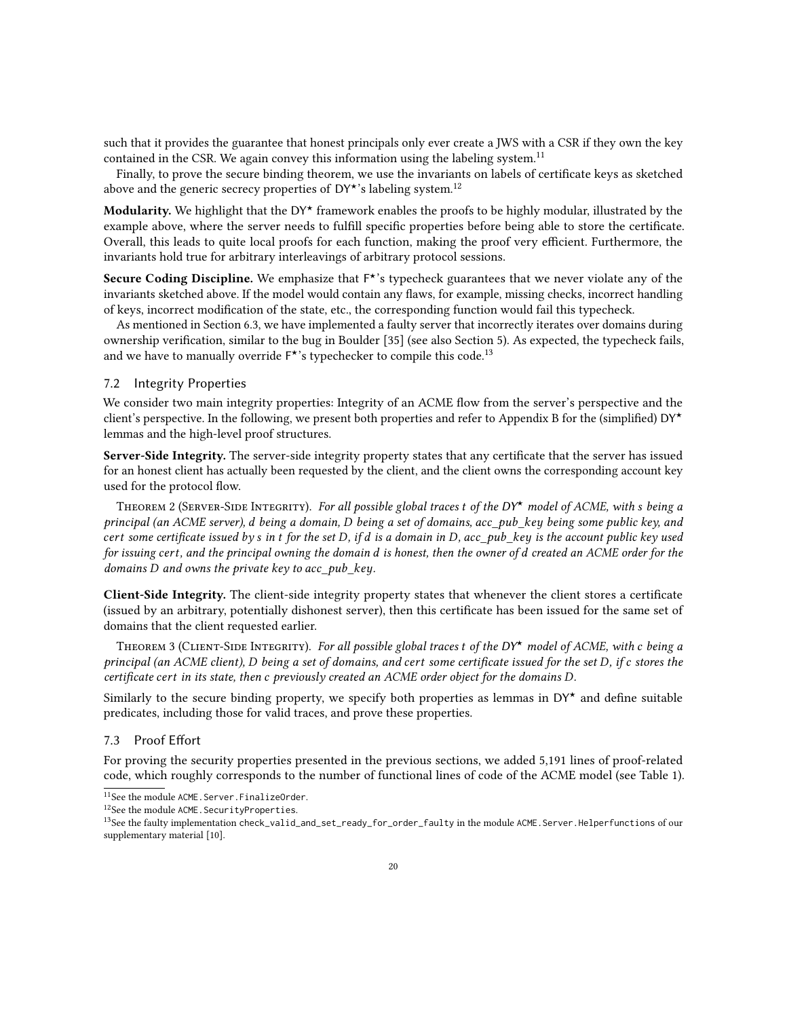such that it provides the guarantee that honest principals only ever create a JWS with a CSR if they own the key contained in the CSR. We again convey this information using the labeling system.<sup>[11](#page-19-0)</sup>

Finally, to prove the secure binding theorem, we use the invariants on labels of certificate keys as sketched above and the generic secrecy properties of DY\*'s labeling system.<sup>[12](#page-19-1)</sup>

Modularity. We highlight that the DY<sup>\*</sup> framework enables the proofs to be highly modular, illustrated by the example above, where the server needs to fulfill specific properties before being able to store the certificate. Overall, this leads to quite local proofs for each function, making the proof very efficient. Furthermore, the invariants hold true for arbitrary interleavings of arbitrary protocol sessions.

Secure Coding Discipline. We emphasize that F<sup>\*</sup>'s typecheck guarantees that we never violate any of the invariants sketched above. If the model would contain any flaws, for example, missing checks, incorrect handling of keys, incorrect modification of the state, etc., the corresponding function would fail this typecheck.

As mentioned in Section [6.3,](#page-16-1) we have implemented a faulty server that incorrectly iterates over domains during ownership verification, similar to the bug in Boulder [\[35\]](#page-23-4) (see also Section [5\)](#page-12-0). As expected, the typecheck fails, and we have to manually override  $F^{\star}$ 's typechecker to compile this code.<sup>[13](#page-19-2)</sup>

#### <span id="page-19-3"></span>7.2 Integrity Properties

We consider two main integrity properties: Integrity of an ACME flow from the server's perspective and the client's perspective. In the following, we present both properties and refer to Appendix [B](#page-28-0) for the (simplified)  $DY^{\star}$ lemmas and the high-level proof structures.

Server-Side Integrity. The server-side integrity property states that any certificate that the server has issued for an honest client has actually been requested by the client, and the client owns the corresponding account key used for the protocol flow.

THEOREM 2 (SERVER-SIDE INTEGRITY). For all possible global traces t of the DY\* model of ACME, with s being a principal (an ACME server),  $d$  being a domain,  $D$  being a set of domains, acc pub key being some public key, and cert some certificate issued by  $s$  in  $t$  for the set D, if  $d$  is a domain in D, acc\_pub\_key is the account public key used for issuing cert, and the principal owning the domain d is honest, then the owner of d created an ACME order for the domains  $D$  and owns the private key to acc\_pub\_key.

Client-Side Integrity. The client-side integrity property states that whenever the client stores a certificate (issued by an arbitrary, potentially dishonest server), then this certificate has been issued for the same set of domains that the client requested earlier.

THEOREM 3 (CLIENT-SIDE INTEGRITY). For all possible global traces t of the DY\* model of ACME, with  $c$  being a principal (an ACME client), D being a set of domains, and cert some certificate issued for the set D, if c stores the certificate cert in its state, then c previously created an ACME order object for the domains D.

Similarly to the secure binding property, we specify both properties as lemmas in  $DY^*$  and define suitable predicates, including those for valid traces, and prove these properties.

## 7.3 Proof Effort

For proving the security properties presented in the previous sections, we added 5,191 lines of proof-related code, which roughly corresponds to the number of functional lines of code of the ACME model (see Table [1\)](#page-13-1).

<span id="page-19-0"></span><sup>11</sup>See the module ACME.Server.FinalizeOrder.

<span id="page-19-1"></span><sup>12</sup>See the module ACME.SecurityProperties.

<span id="page-19-2"></span><sup>13</sup>See the faulty implementation check\_valid\_and\_set\_ready\_for\_order\_faulty in the module ACME.Server.Helperfunctions of our supplementary material [\[10\]](#page-22-10).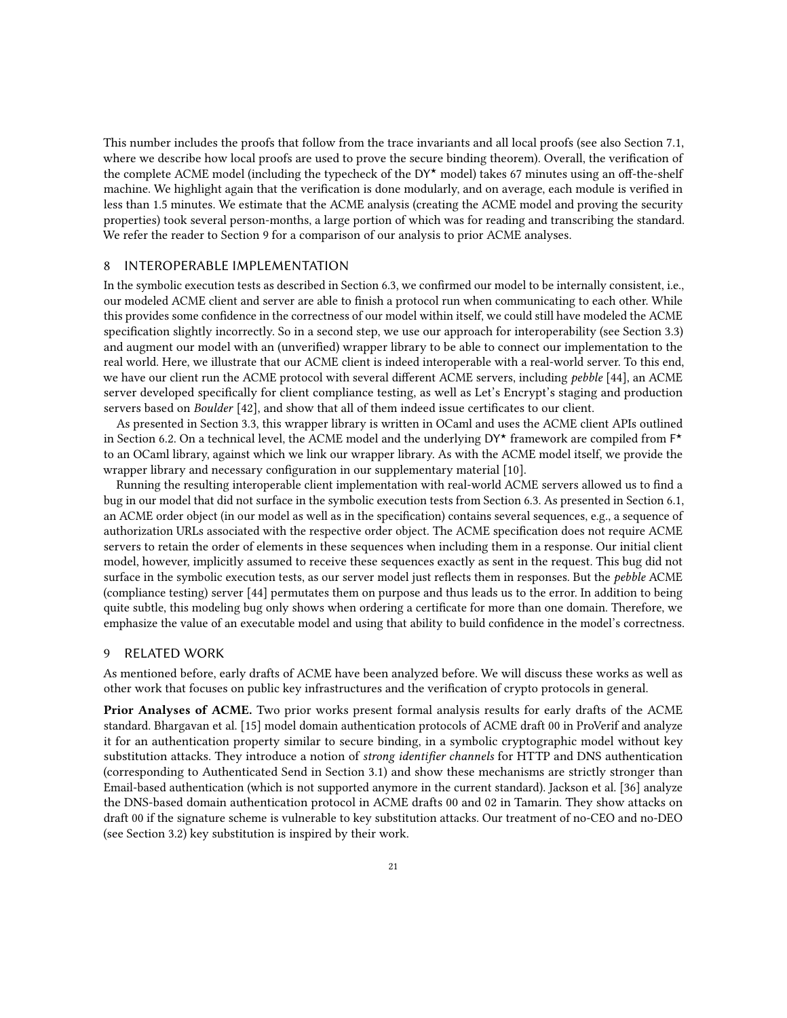This number includes the proofs that follow from the trace invariants and all local proofs (see also Section [7.1,](#page-17-0) where we describe how local proofs are used to prove the secure binding theorem). Overall, the verification of the complete ACME model (including the typecheck of the DY★ model) takes 67 minutes using an off-the-shelf machine. We highlight again that the verification is done modularly, and on average, each module is verified in less than 1.5 minutes. We estimate that the ACME analysis (creating the ACME model and proving the security properties) took several person-months, a large portion of which was for reading and transcribing the standard. We refer the reader to Section [9](#page-20-1) for a comparison of our analysis to prior ACME analyses.

## <span id="page-20-0"></span>8 INTEROPERABLE IMPLEMENTATION

In the symbolic execution tests as described in Section [6.3,](#page-16-1) we confirmed our model to be internally consistent, i.e., our modeled ACME client and server are able to finish a protocol run when communicating to each other. While this provides some confidence in the correctness of our model within itself, we could still have modeled the ACME specification slightly incorrectly. So in a second step, we use our approach for interoperability (see Section [3.3\)](#page-8-2) and augment our model with an (unverified) wrapper library to be able to connect our implementation to the real world. Here, we illustrate that our ACME client is indeed interoperable with a real-world server. To this end, we have our client run the ACME protocol with several different ACME servers, including *pebble* [\[44\]](#page-24-18), an ACME server developed specifically for client compliance testing, as well as Let's Encrypt's staging and production servers based on Boulder [\[42\]](#page-24-19), and show that all of them indeed issue certificates to our client.

As presented in Section [3.3,](#page-8-2) this wrapper library is written in OCaml and uses the ACME client APIs outlined in Section [6.2.](#page-14-0) On a technical level, the ACME model and the underlying DY★ framework are compiled from F ★ to an OCaml library, against which we link our wrapper library. As with the ACME model itself, we provide the wrapper library and necessary configuration in our supplementary material [\[10\]](#page-22-10).

Running the resulting interoperable client implementation with real-world ACME servers allowed us to find a bug in our model that did not surface in the symbolic execution tests from Section [6.3.](#page-16-1) As presented in Section [6.1,](#page-13-2) an ACME order object (in our model as well as in the specification) contains several sequences, e.g., a sequence of authorization URLs associated with the respective order object. The ACME specification does not require ACME servers to retain the order of elements in these sequences when including them in a response. Our initial client model, however, implicitly assumed to receive these sequences exactly as sent in the request. This bug did not surface in the symbolic execution tests, as our server model just reflects them in responses. But the *pebble* ACME (compliance testing) server [\[44\]](#page-24-18) permutates them on purpose and thus leads us to the error. In addition to being quite subtle, this modeling bug only shows when ordering a certificate for more than one domain. Therefore, we emphasize the value of an executable model and using that ability to build confidence in the model's correctness.

#### <span id="page-20-1"></span>9 RELATED WORK

As mentioned before, early drafts of ACME have been analyzed before. We will discuss these works as well as other work that focuses on public key infrastructures and the verification of crypto protocols in general.

Prior Analyses of ACME. Two prior works present formal analysis results for early drafts of the ACME standard. Bhargavan et al. [\[15\]](#page-23-3) model domain authentication protocols of ACME draft 00 in ProVerif and analyze it for an authentication property similar to secure binding, in a symbolic cryptographic model without key substitution attacks. They introduce a notion of strong identifier channels for HTTP and DNS authentication (corresponding to Authenticated Send in Section [3.1\)](#page-7-1) and show these mechanisms are strictly stronger than Email-based authentication (which is not supported anymore in the current standard). Jackson et al. [\[36\]](#page-24-4) analyze the DNS-based domain authentication protocol in ACME drafts 00 and 02 in Tamarin. They show attacks on draft 00 if the signature scheme is vulnerable to key substitution attacks. Our treatment of no-CEO and no-DEO (see Section [3.2\)](#page-8-0) key substitution is inspired by their work.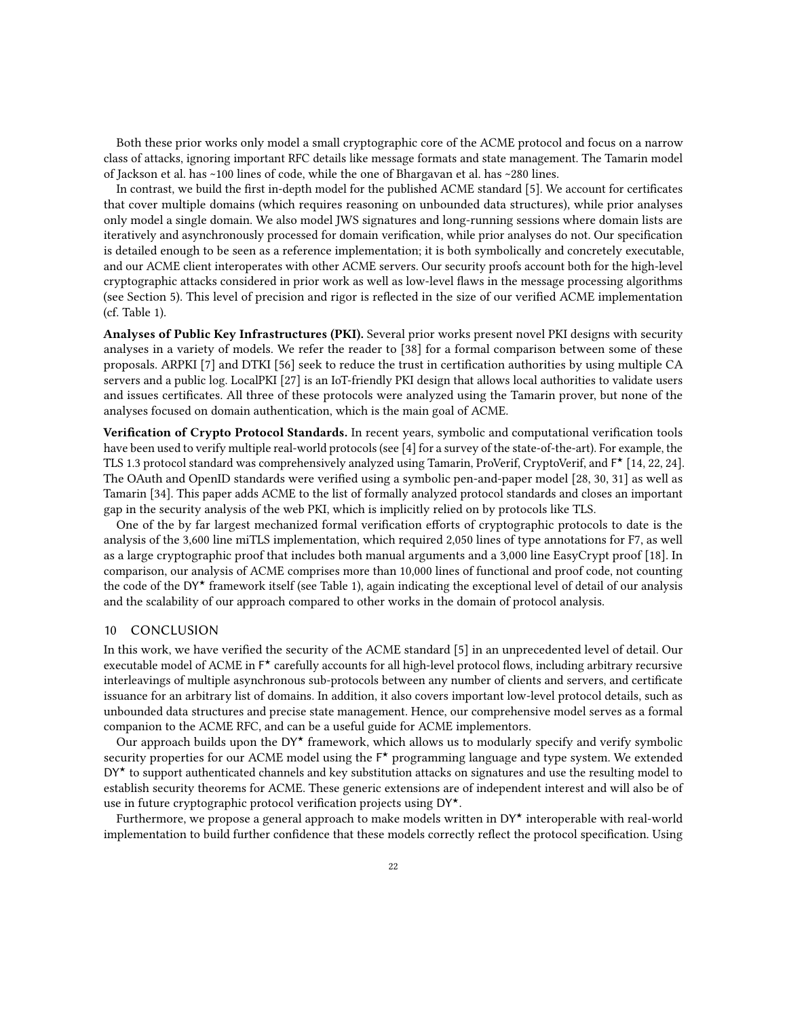Both these prior works only model a small cryptographic core of the ACME protocol and focus on a narrow class of attacks, ignoring important RFC details like message formats and state management. The Tamarin model of Jackson et al. has ~100 lines of code, while the one of Bhargavan et al. has ~280 lines.

In contrast, we build the first in-depth model for the published ACME standard [\[5\]](#page-22-0). We account for certificates that cover multiple domains (which requires reasoning on unbounded data structures), while prior analyses only model a single domain. We also model JWS signatures and long-running sessions where domain lists are iteratively and asynchronously processed for domain verification, while prior analyses do not. Our specification is detailed enough to be seen as a reference implementation; it is both symbolically and concretely executable, and our ACME client interoperates with other ACME servers. Our security proofs account both for the high-level cryptographic attacks considered in prior work as well as low-level flaws in the message processing algorithms (see Section [5\)](#page-12-0). This level of precision and rigor is reflected in the size of our verified ACME implementation (cf. Table [1\)](#page-13-1).

Analyses of Public Key Infrastructures (PKI). Several prior works present novel PKI designs with security analyses in a variety of models. We refer the reader to [\[38\]](#page-24-20) for a formal comparison between some of these proposals. ARPKI [\[7\]](#page-22-11) and DTKI [\[56\]](#page-24-21) seek to reduce the trust in certification authorities by using multiple CA servers and a public log. LocalPKI [\[27\]](#page-23-15) is an IoT-friendly PKI design that allows local authorities to validate users and issues certificates. All three of these protocols were analyzed using the Tamarin prover, but none of the analyses focused on domain authentication, which is the main goal of ACME.

Verification of Crypto Protocol Standards. In recent years, symbolic and computational verification tools have been used to verify multiple real-world protocols (see [\[4\]](#page-22-12) for a survey of the state-of-the-art). For example, the TLS 1.3 protocol standard was comprehensively analyzed using Tamarin, ProVerif, CryptoVerif, and F ★ [\[14,](#page-22-13) [22,](#page-23-5) [24\]](#page-23-16). The OAuth and OpenID standards were verified using a symbolic pen-and-paper model [\[28,](#page-23-17) [30,](#page-23-14) [31\]](#page-23-18) as well as Tamarin [\[34\]](#page-23-19). This paper adds ACME to the list of formally analyzed protocol standards and closes an important gap in the security analysis of the web PKI, which is implicitly relied on by protocols like TLS.

One of the by far largest mechanized formal verification efforts of cryptographic protocols to date is the analysis of the 3,600 line miTLS implementation, which required 2,050 lines of type annotations for F7, as well as a large cryptographic proof that includes both manual arguments and a 3,000 line EasyCrypt proof [\[18\]](#page-23-7). In comparison, our analysis of ACME comprises more than 10,000 lines of functional and proof code, not counting the code of the DY<sup>\*</sup> framework itself (see Table [1\)](#page-13-1), again indicating the exceptional level of detail of our analysis and the scalability of our approach compared to other works in the domain of protocol analysis.

#### 10 CONCLUSION

In this work, we have verified the security of the ACME standard [\[5\]](#page-22-0) in an unprecedented level of detail. Our executable model of ACME in F ★ carefully accounts for all high-level protocol flows, including arbitrary recursive interleavings of multiple asynchronous sub-protocols between any number of clients and servers, and certificate issuance for an arbitrary list of domains. In addition, it also covers important low-level protocol details, such as unbounded data structures and precise state management. Hence, our comprehensive model serves as a formal companion to the ACME RFC, and can be a useful guide for ACME implementors.

Our approach builds upon the DY<sup>\*</sup> framework, which allows us to modularly specify and verify symbolic security properties for our ACME model using the  $F^{\star}$  programming language and type system. We extended  $DY^{\star}$  to support authenticated channels and key substitution attacks on signatures and use the resulting model to establish security theorems for ACME. These generic extensions are of independent interest and will also be of use in future cryptographic protocol verification projects using DY★.

Furthermore, we propose a general approach to make models written in DY★ interoperable with real-world implementation to build further confidence that these models correctly reflect the protocol specification. Using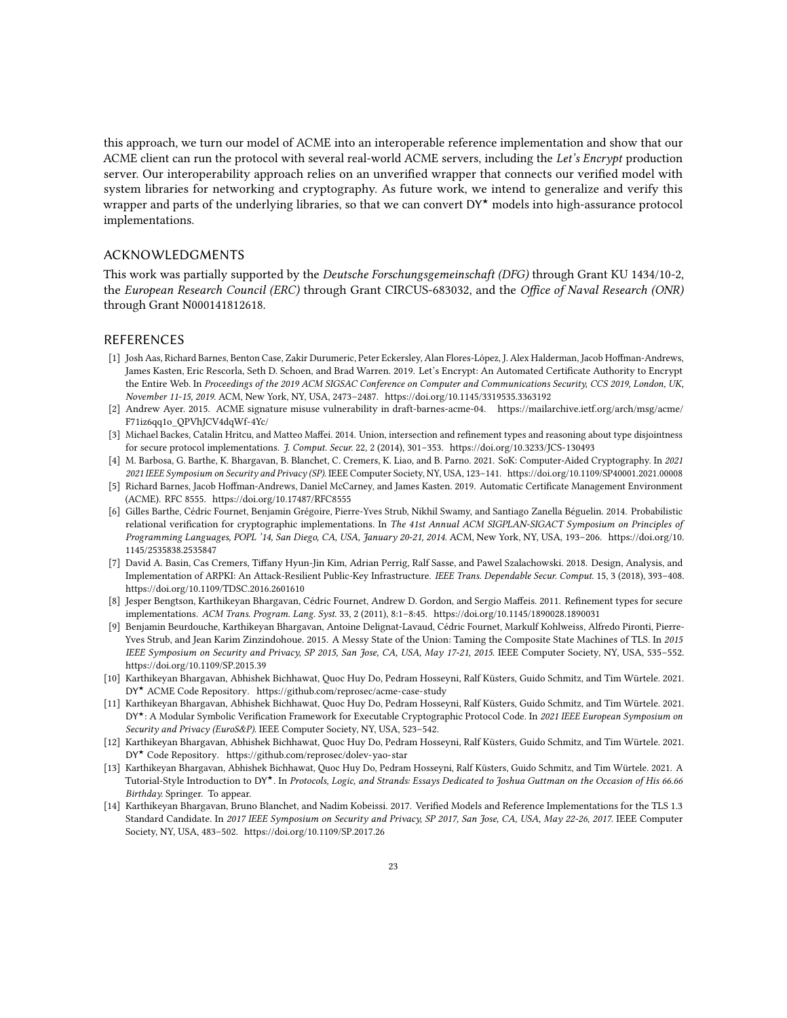this approach, we turn our model of ACME into an interoperable reference implementation and show that our ACME client can run the protocol with several real-world ACME servers, including the Let's Encrypt production server. Our interoperability approach relies on an unverified wrapper that connects our verified model with system libraries for networking and cryptography. As future work, we intend to generalize and verify this wrapper and parts of the underlying libraries, so that we can convert DY<sup>\*</sup> models into high-assurance protocol implementations.

## ACKNOWLEDGMENTS

This work was partially supported by the Deutsche Forschungsgemeinschaft (DFG) through Grant KU 1434/10-2, the European Research Council (ERC) through Grant CIRCUS-683032, and the Office of Naval Research (ONR) through Grant N000141812618.

## REFERENCES

- <span id="page-22-1"></span>[1] Josh Aas, Richard Barnes, Benton Case, Zakir Durumeric, Peter Eckersley, Alan Flores-López, J. Alex Halderman, Jacob Hoffman-Andrews, James Kasten, Eric Rescorla, Seth D. Schoen, and Brad Warren. 2019. Let's Encrypt: An Automated Certificate Authority to Encrypt the Entire Web. In Proceedings of the 2019 ACM SIGSAC Conference on Computer and Communications Security, CCS 2019, London, UK, November 11-15, 2019. ACM, New York, NY, USA, 2473–2487.<https://doi.org/10.1145/3319535.3363192>
- <span id="page-22-2"></span>[2] Andrew Ayer. 2015. ACME signature misuse vulnerability in draft-barnes-acme-04. [https://mailarchive.ietf.org/arch/msg/acme/](https://mailarchive.ietf.org/arch/msg/acme/F71iz6qq1o_QPVhJCV4dqWf-4Yc/) [F71iz6qq1o\\_QPVhJCV4dqWf-4Yc/](https://mailarchive.ietf.org/arch/msg/acme/F71iz6qq1o_QPVhJCV4dqWf-4Yc/)
- <span id="page-22-4"></span>[3] Michael Backes, Catalin Hritcu, and Matteo Maffei. 2014. Union, intersection and refinement types and reasoning about type disjointness for secure protocol implementations. J. Comput. Secur. 22, 2 (2014), 301–353.<https://doi.org/10.3233/JCS-130493>
- <span id="page-22-12"></span>[4] M. Barbosa, G. Barthe, K. Bhargavan, B. Blanchet, C. Cremers, K. Liao, and B. Parno. 2021. SoK: Computer-Aided Cryptography. In 2021 2021 IEEE Symposium on Security and Privacy (SP). IEEE Computer Society, NY, USA, 123–141.<https://doi.org/10.1109/SP40001.2021.00008>
- <span id="page-22-0"></span>[5] Richard Barnes, Jacob Hoffman-Andrews, Daniel McCarney, and James Kasten. 2019. Automatic Certificate Management Environment (ACME). RFC 8555.<https://doi.org/10.17487/RFC8555>
- <span id="page-22-5"></span>[6] Gilles Barthe, Cédric Fournet, Benjamin Grégoire, Pierre-Yves Strub, Nikhil Swamy, and Santiago Zanella Béguelin. 2014. Probabilistic relational verification for cryptographic implementations. In The 41st Annual ACM SIGPLAN-SIGACT Symposium on Principles of Programming Languages, POPL '14, San Diego, CA, USA, January 20-21, 2014. ACM, New York, NY, USA, 193–206. [https://doi.org/10.](https://doi.org/10.1145/2535838.2535847) [1145/2535838.2535847](https://doi.org/10.1145/2535838.2535847)
- <span id="page-22-11"></span>[7] David A. Basin, Cas Cremers, Tiffany Hyun-Jin Kim, Adrian Perrig, Ralf Sasse, and Pawel Szalachowski. 2018. Design, Analysis, and Implementation of ARPKI: An Attack-Resilient Public-Key Infrastructure. IEEE Trans. Dependable Secur. Comput. 15, 3 (2018), 393–408. <https://doi.org/10.1109/TDSC.2016.2601610>
- <span id="page-22-6"></span>[8] Jesper Bengtson, Karthikeyan Bhargavan, Cédric Fournet, Andrew D. Gordon, and Sergio Maffeis. 2011. Refinement types for secure implementations. ACM Trans. Program. Lang. Syst. 33, 2 (2011), 8:1–8:45.<https://doi.org/10.1145/1890028.1890031>
- <span id="page-22-9"></span>[9] Benjamin Beurdouche, Karthikeyan Bhargavan, Antoine Delignat-Lavaud, Cédric Fournet, Markulf Kohlweiss, Alfredo Pironti, Pierre-Yves Strub, and Jean Karim Zinzindohoue. 2015. A Messy State of the Union: Taming the Composite State Machines of TLS. In 2015 IEEE Symposium on Security and Privacy, SP 2015, San Jose, CA, USA, May 17-21, 2015. IEEE Computer Society, NY, USA, 535–552. <https://doi.org/10.1109/SP.2015.39>
- <span id="page-22-10"></span>[10] Karthikeyan Bhargavan, Abhishek Bichhawat, Quoc Huy Do, Pedram Hosseyni, Ralf Küsters, Guido Schmitz, and Tim Würtele. 2021. DY★ ACME Code Repository.<https://github.com/reprosec/acme-case-study>
- <span id="page-22-3"></span>[11] Karthikeyan Bhargavan, Abhishek Bichhawat, Quoc Huy Do, Pedram Hosseyni, Ralf Küsters, Guido Schmitz, and Tim Würtele. 2021. DY\*: A Modular Symbolic Verification Framework for Executable Cryptographic Protocol Code. In 2021 IEEE European Symposium on Security and Privacy (EuroS&P). IEEE Computer Society, NY, USA, 523–542.
- <span id="page-22-8"></span>[12] Karthikeyan Bhargavan, Abhishek Bichhawat, Quoc Huy Do, Pedram Hosseyni, Ralf Küsters, Guido Schmitz, and Tim Würtele. 2021. DY★ Code Repository.<https://github.com/reprosec/dolev-yao-star>
- <span id="page-22-7"></span>[13] Karthikeyan Bhargavan, Abhishek Bichhawat, Quoc Huy Do, Pedram Hosseyni, Ralf Küsters, Guido Schmitz, and Tim Würtele. 2021. A Tutorial-Style Introduction to DY★. In Protocols, Logic, and Strands: Essays Dedicated to Joshua Guttman on the Occasion of His 66.66 Birthday. Springer. To appear.
- <span id="page-22-13"></span>[14] Karthikeyan Bhargavan, Bruno Blanchet, and Nadim Kobeissi. 2017. Verified Models and Reference Implementations for the TLS 1.3 Standard Candidate. In 2017 IEEE Symposium on Security and Privacy, SP 2017, San Jose, CA, USA, May 22-26, 2017. IEEE Computer Society, NY, USA, 483–502.<https://doi.org/10.1109/SP.2017.26>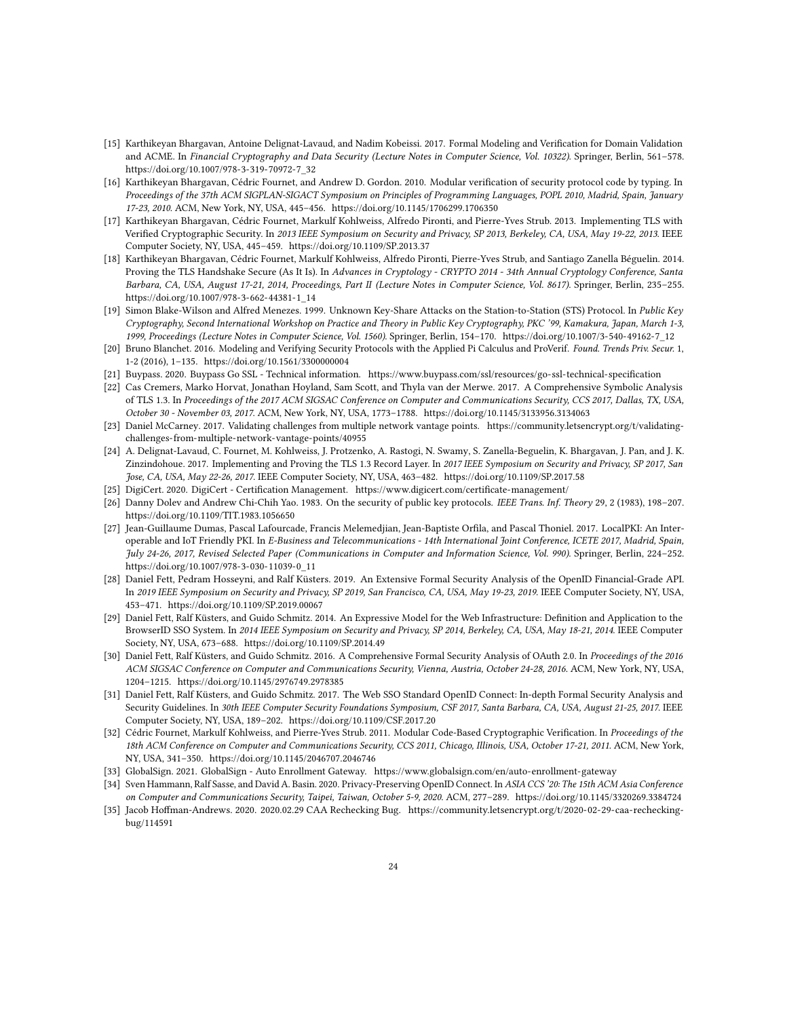- <span id="page-23-3"></span>[15] Karthikeyan Bhargavan, Antoine Delignat-Lavaud, and Nadim Kobeissi. 2017. Formal Modeling and Verification for Domain Validation and ACME. In Financial Cryptography and Data Security (Lecture Notes in Computer Science, Vol. 10322). Springer, Berlin, 561–578. [https://doi.org/10.1007/978-3-319-70972-7\\_32](https://doi.org/10.1007/978-3-319-70972-7_32)
- <span id="page-23-6"></span>[16] Karthikeyan Bhargavan, Cédric Fournet, and Andrew D. Gordon. 2010. Modular verification of security protocol code by typing. In Proceedings of the 37th ACM SIGPLAN-SIGACT Symposium on Principles of Programming Languages, POPL 2010, Madrid, Spain, January 17-23, 2010. ACM, New York, NY, USA, 445–456.<https://doi.org/10.1145/1706299.1706350>
- [17] Karthikeyan Bhargavan, Cédric Fournet, Markulf Kohlweiss, Alfredo Pironti, and Pierre-Yves Strub. 2013. Implementing TLS with Verified Cryptographic Security. In 2013 IEEE Symposium on Security and Privacy, SP 2013, Berkeley, CA, USA, May 19-22, 2013. IEEE Computer Society, NY, USA, 445–459.<https://doi.org/10.1109/SP.2013.37>
- <span id="page-23-7"></span>[18] Karthikeyan Bhargavan, Cédric Fournet, Markulf Kohlweiss, Alfredo Pironti, Pierre-Yves Strub, and Santiago Zanella Béguelin. 2014. Proving the TLS Handshake Secure (As It Is). In Advances in Cryptology - CRYPTO 2014 - 34th Annual Cryptology Conference, Santa Barbara, CA, USA, August 17-21, 2014, Proceedings, Part II (Lecture Notes in Computer Science, Vol. 8617). Springer, Berlin, 235–255. [https://doi.org/10.1007/978-3-662-44381-1\\_14](https://doi.org/10.1007/978-3-662-44381-1_14)
- <span id="page-23-11"></span>[19] Simon Blake-Wilson and Alfred Menezes. 1999. Unknown Key-Share Attacks on the Station-to-Station (STS) Protocol. In Public Key Cryptography, Second International Workshop on Practice and Theory in Public Key Cryptography, PKC '99, Kamakura, Japan, March 1-3, 1999, Proceedings (Lecture Notes in Computer Science, Vol. 1560). Springer, Berlin, 154–170. [https://doi.org/10.1007/3-540-49162-7\\_12](https://doi.org/10.1007/3-540-49162-7_12)
- <span id="page-23-9"></span>[20] Bruno Blanchet. 2016. Modeling and Verifying Security Protocols with the Applied Pi Calculus and ProVerif. Found. Trends Priv. Secur. 1, 1-2 (2016), 1–135.<https://doi.org/10.1561/3300000004>
- <span id="page-23-0"></span>[21] Buypass. 2020. Buypass Go SSL - Technical information.<https://www.buypass.com/ssl/resources/go-ssl-technical-specification>
- <span id="page-23-5"></span>[22] Cas Cremers, Marko Horvat, Jonathan Hoyland, Sam Scott, and Thyla van der Merwe. 2017. A Comprehensive Symbolic Analysis of TLS 1.3. In Proceedings of the 2017 ACM SIGSAC Conference on Computer and Communications Security, CCS 2017, Dallas, TX, USA, October 30 - November 03, 2017. ACM, New York, NY, USA, 1773–1788.<https://doi.org/10.1145/3133956.3134063>
- <span id="page-23-12"></span>[23] Daniel McCarney. 2017. Validating challenges from multiple network vantage points. [https://community.letsencrypt.org/t/validating](https://community.letsencrypt.org/t/validating-challenges-from-multiple-network-vantage-points/40955)[challenges-from-multiple-network-vantage-points/40955](https://community.letsencrypt.org/t/validating-challenges-from-multiple-network-vantage-points/40955)
- <span id="page-23-16"></span>[24] A. Delignat-Lavaud, C. Fournet, M. Kohlweiss, J. Protzenko, A. Rastogi, N. Swamy, S. Zanella-Beguelin, K. Bhargavan, J. Pan, and J. K. Zinzindohoue. 2017. Implementing and Proving the TLS 1.3 Record Layer. In 2017 IEEE Symposium on Security and Privacy, SP 2017, San Jose, CA, USA, May 22-26, 2017. IEEE Computer Society, NY, USA, 463–482.<https://doi.org/10.1109/SP.2017.58>
- <span id="page-23-1"></span>[25] DigiCert. 2020. DigiCert - Certification Management.<https://www.digicert.com/certificate-management/>
- <span id="page-23-10"></span>[26] Danny Dolev and Andrew Chi-Chih Yao. 1983. On the security of public key protocols. IEEE Trans. Inf. Theory 29, 2 (1983), 198–207. <https://doi.org/10.1109/TIT.1983.1056650>
- <span id="page-23-15"></span>[27] Jean-Guillaume Dumas, Pascal Lafourcade, Francis Melemedjian, Jean-Baptiste Orfila, and Pascal Thoniel. 2017. LocalPKI: An Interoperable and IoT Friendly PKI. In E-Business and Telecommunications - 14th International Joint Conference, ICETE 2017, Madrid, Spain, July 24-26, 2017, Revised Selected Paper (Communications in Computer and Information Science, Vol. 990). Springer, Berlin, 224–252. [https://doi.org/10.1007/978-3-030-11039-0\\_11](https://doi.org/10.1007/978-3-030-11039-0_11)
- <span id="page-23-17"></span>[28] Daniel Fett, Pedram Hosseyni, and Ralf Küsters. 2019. An Extensive Formal Security Analysis of the OpenID Financial-Grade API. In 2019 IEEE Symposium on Security and Privacy, SP 2019, San Francisco, CA, USA, May 19-23, 2019. IEEE Computer Society, NY, USA, 453–471.<https://doi.org/10.1109/SP.2019.00067>
- <span id="page-23-13"></span>[29] Daniel Fett, Ralf Küsters, and Guido Schmitz. 2014. An Expressive Model for the Web Infrastructure: Definition and Application to the BrowserID SSO System. In 2014 IEEE Symposium on Security and Privacy, SP 2014, Berkeley, CA, USA, May 18-21, 2014. IEEE Computer Society, NY, USA, 673–688.<https://doi.org/10.1109/SP.2014.49>
- <span id="page-23-14"></span>[30] Daniel Fett, Ralf Küsters, and Guido Schmitz. 2016. A Comprehensive Formal Security Analysis of OAuth 2.0. In Proceedings of the 2016 ACM SIGSAC Conference on Computer and Communications Security, Vienna, Austria, October 24-28, 2016. ACM, New York, NY, USA, 1204–1215.<https://doi.org/10.1145/2976749.2978385>
- <span id="page-23-18"></span>[31] Daniel Fett, Ralf Küsters, and Guido Schmitz. 2017. The Web SSO Standard OpenID Connect: In-depth Formal Security Analysis and Security Guidelines. In 30th IEEE Computer Security Foundations Symposium, CSF 2017, Santa Barbara, CA, USA, August 21-25, 2017. IEEE Computer Society, NY, USA, 189–202.<https://doi.org/10.1109/CSF.2017.20>
- <span id="page-23-8"></span>[32] Cédric Fournet, Markulf Kohlweiss, and Pierre-Yves Strub. 2011. Modular Code-Based Cryptographic Verification. In Proceedings of the 18th ACM Conference on Computer and Communications Security, CCS 2011, Chicago, Illinois, USA, October 17-21, 2011. ACM, New York, NY, USA, 341–350.<https://doi.org/10.1145/2046707.2046746>
- <span id="page-23-2"></span>[33] GlobalSign. 2021. GlobalSign - Auto Enrollment Gateway.<https://www.globalsign.com/en/auto-enrollment-gateway>
- <span id="page-23-19"></span>[34] Sven Hammann, Ralf Sasse, and David A. Basin. 2020. Privacy-Preserving OpenID Connect. In ASIA CCS '20: The 15th ACM Asia Conference on Computer and Communications Security, Taipei, Taiwan, October 5-9, 2020. ACM, 277–289.<https://doi.org/10.1145/3320269.3384724>
- <span id="page-23-4"></span>[35] Jacob Hoffman-Andrews. 2020. 2020.02.29 CAA Rechecking Bug. [https://community.letsencrypt.org/t/2020-02-29-caa-rechecking](https://community.letsencrypt.org/t/2020-02-29-caa-rechecking-bug/114591)[bug/114591](https://community.letsencrypt.org/t/2020-02-29-caa-rechecking-bug/114591)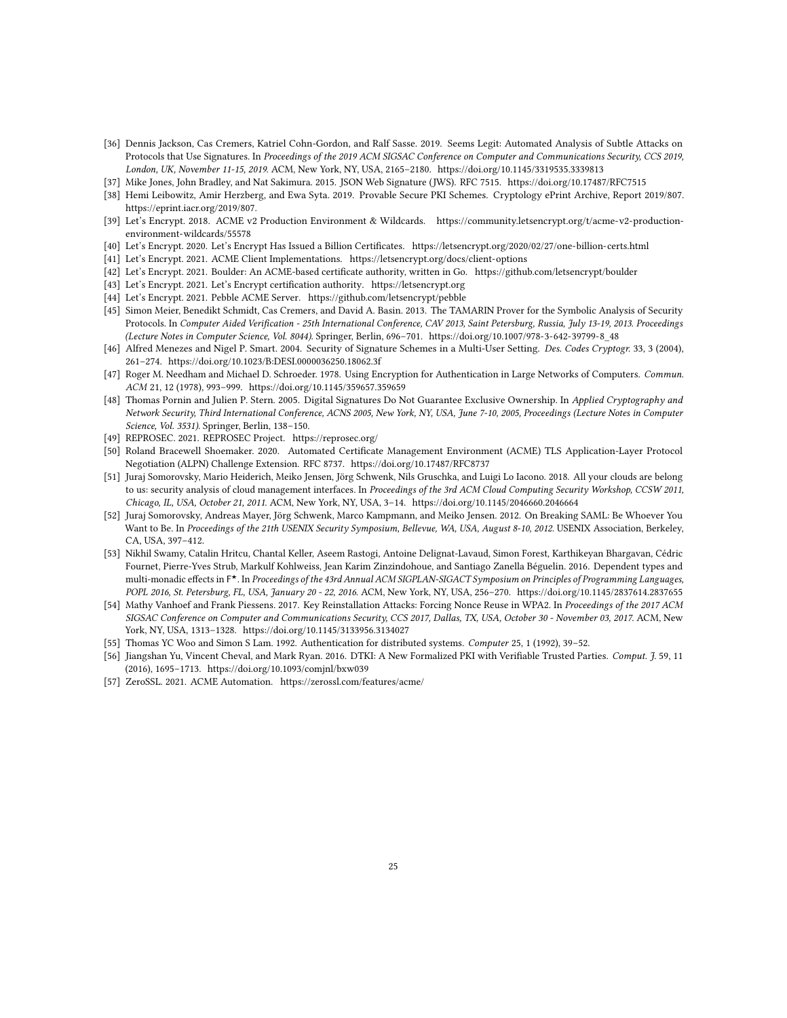- <span id="page-24-4"></span>[36] Dennis Jackson, Cas Cremers, Katriel Cohn-Gordon, and Ralf Sasse. 2019. Seems Legit: Automated Analysis of Subtle Attacks on Protocols that Use Signatures. In Proceedings of the 2019 ACM SIGSAC Conference on Computer and Communications Security, CCS 2019, London, UK, November 11-15, 2019. ACM, New York, NY, USA, 2165–2180.<https://doi.org/10.1145/3319535.3339813>
- <span id="page-24-12"></span>[37] Mike Jones, John Bradley, and Nat Sakimura. 2015. JSON Web Signature (JWS). RFC 7515.<https://doi.org/10.17487/RFC7515>
- <span id="page-24-20"></span>[38] Hemi Leibowitz, Amir Herzberg, and Ewa Syta. 2019. Provable Secure PKI Schemes. Cryptology ePrint Archive, Report 2019/807. [https://eprint.iacr.org/2019/807.](https://eprint.iacr.org/2019/807)
- <span id="page-24-17"></span>[39] Let's Encrypt. 2018. ACME v2 Production Environment & Wildcards. [https://community.letsencrypt.org/t/acme-v2-production](https://community.letsencrypt.org/t/acme-v2-production-environment-wildcards/55578)[environment-wildcards/55578](https://community.letsencrypt.org/t/acme-v2-production-environment-wildcards/55578)
- <span id="page-24-3"></span>[40] Let's Encrypt. 2020. Let's Encrypt Has Issued a Billion Certificates.<https://letsencrypt.org/2020/02/27/one-billion-certs.html>
- <span id="page-24-2"></span>[41] Let's Encrypt. 2021. ACME Client Implementations.<https://letsencrypt.org/docs/client-options>
- <span id="page-24-19"></span>[42] Let's Encrypt. 2021. Boulder: An ACME-based certificate authority, written in Go.<https://github.com/letsencrypt/boulder>
- <span id="page-24-0"></span>[43] Let's Encrypt. 2021. Let's Encrypt certification authority.<https://letsencrypt.org>
- <span id="page-24-18"></span>[44] Let's Encrypt. 2021. Pebble ACME Server.<https://github.com/letsencrypt/pebble>
- <span id="page-24-8"></span>[45] Simon Meier, Benedikt Schmidt, Cas Cremers, and David A. Basin. 2013. The TAMARIN Prover for the Symbolic Analysis of Security Protocols. In Computer Aided Verification - 25th International Conference, CAV 2013, Saint Petersburg, Russia, July 13-19, 2013. Proceedings (Lecture Notes in Computer Science, Vol. 8044). Springer, Berlin, 696–701. [https://doi.org/10.1007/978-3-642-39799-8\\_48](https://doi.org/10.1007/978-3-642-39799-8_48)
- <span id="page-24-10"></span>[46] Alfred Menezes and Nigel P. Smart. 2004. Security of Signature Schemes in a Multi-User Setting. Des. Codes Cryptogr. 33, 3 (2004), 261–274.<https://doi.org/10.1023/B:DESI.0000036250.18062.3f>
- <span id="page-24-7"></span>[47] Roger M. Needham and Michael D. Schroeder. 1978. Using Encryption for Authentication in Large Networks of Computers. Commun. ACM 21, 12 (1978), 993–999.<https://doi.org/10.1145/359657.359659>
- <span id="page-24-11"></span>[48] Thomas Pornin and Julien P. Stern. 2005. Digital Signatures Do Not Guarantee Exclusive Ownership. In Applied Cryptography and Network Security, Third International Conference, ACNS 2005, New York, NY, USA, June 7-10, 2005, Proceedings (Lecture Notes in Computer Science, Vol. 3531). Springer, Berlin, 138–150.
- <span id="page-24-6"></span>[49] REPROSEC. 2021. REPROSEC Project.<https://reprosec.org/>
- <span id="page-24-13"></span>[50] Roland Bracewell Shoemaker. 2020. Automated Certificate Management Environment (ACME) TLS Application-Layer Protocol Negotiation (ALPN) Challenge Extension. RFC 8737.<https://doi.org/10.17487/RFC8737>
- <span id="page-24-15"></span>[51] Juraj Somorovsky, Mario Heiderich, Meiko Jensen, Jörg Schwenk, Nils Gruschka, and Luigi Lo Iacono. 2018. All your clouds are belong to us: security analysis of cloud management interfaces. In Proceedings of the 3rd ACM Cloud Computing Security Workshop, CCSW 2011, Chicago, IL, USA, October 21, 2011. ACM, New York, NY, USA, 3–14.<https://doi.org/10.1145/2046660.2046664>
- <span id="page-24-16"></span>[52] Juraj Somorovsky, Andreas Mayer, Jörg Schwenk, Marco Kampmann, and Meiko Jensen. 2012. On Breaking SAML: Be Whoever You Want to Be. In Proceedings of the 21th USENIX Security Symposium, Bellevue, WA, USA, August 8-10, 2012. USENIX Association, Berkeley, CA, USA, 397–412.
- <span id="page-24-5"></span>[53] Nikhil Swamy, Catalin Hritcu, Chantal Keller, Aseem Rastogi, Antoine Delignat-Lavaud, Simon Forest, Karthikeyan Bhargavan, Cédric Fournet, Pierre-Yves Strub, Markulf Kohlweiss, Jean Karim Zinzindohoue, and Santiago Zanella Béguelin. 2016. Dependent types and multi-monadic effects in F ★. In Proceedings of the 43rd Annual ACM SIGPLAN-SIGACT Symposium on Principles of Programming Languages, POPL 2016, St. Petersburg, FL, USA, January 20 - 22, 2016. ACM, New York, NY, USA, 256–270.<https://doi.org/10.1145/2837614.2837655>
- <span id="page-24-14"></span>[54] Mathy Vanhoef and Frank Piessens. 2017. Key Reinstallation Attacks: Forcing Nonce Reuse in WPA2. In Proceedings of the 2017 ACM SIGSAC Conference on Computer and Communications Security, CCS 2017, Dallas, TX, USA, October 30 - November 03, 2017. ACM, New York, NY, USA, 1313–1328.<https://doi.org/10.1145/3133956.3134027>
- <span id="page-24-9"></span>[55] Thomas YC Woo and Simon S Lam. 1992. Authentication for distributed systems. Computer 25, 1 (1992), 39–52.
- <span id="page-24-21"></span>[56] Jiangshan Yu, Vincent Cheval, and Mark Ryan. 2016. DTKI: A New Formalized PKI with Verifiable Trusted Parties. Comput. J. 59, 11 (2016), 1695–1713.<https://doi.org/10.1093/comjnl/bxw039>
- <span id="page-24-1"></span>[57] ZeroSSL. 2021. ACME Automation.<https://zerossl.com/features/acme/>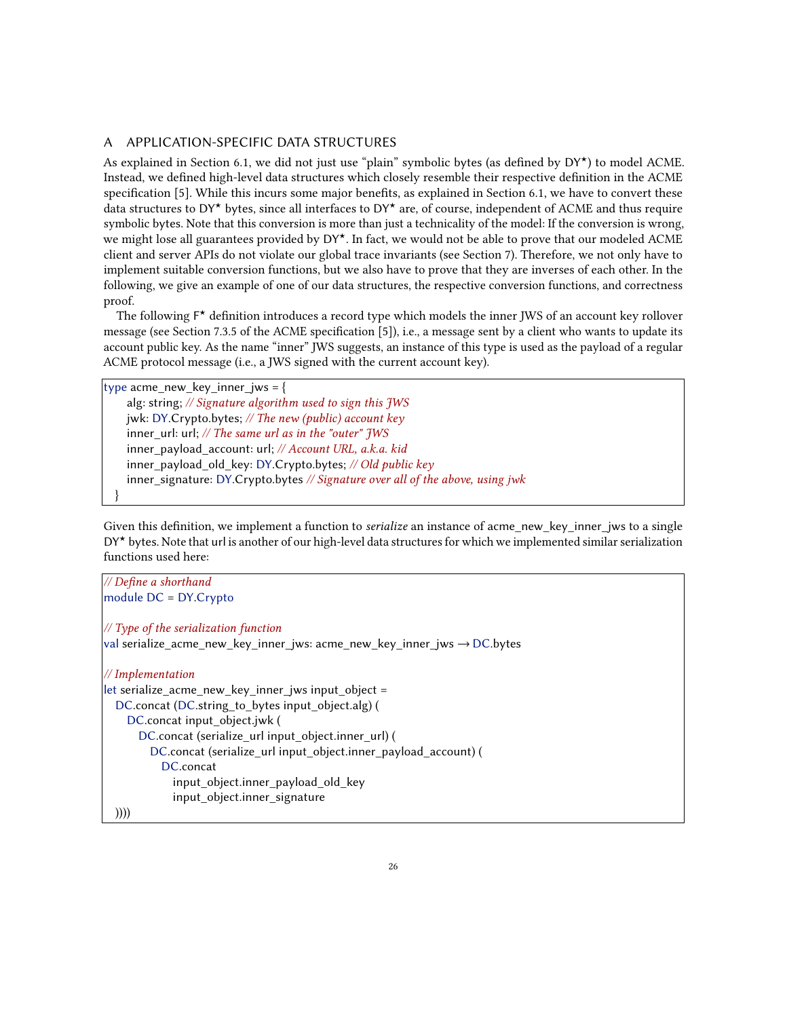## <span id="page-25-0"></span>A APPLICATION-SPECIFIC DATA STRUCTURES

As explained in Section [6.1,](#page-13-2) we did not just use "plain" symbolic bytes (as defined by DY★) to model ACME. Instead, we defined high-level data structures which closely resemble their respective definition in the ACME specification [\[5\]](#page-22-0). While this incurs some major benefits, as explained in Section [6.1,](#page-13-2) we have to convert these data structures to DY<sup>\*</sup> bytes, since all interfaces to DY<sup>\*</sup> are, of course, independent of ACME and thus require symbolic bytes. Note that this conversion is more than just a technicality of the model: If the conversion is wrong, we might lose all guarantees provided by DY<sup>\*</sup>. In fact, we would not be able to prove that our modeled ACME client and server APIs do not violate our global trace invariants (see Section [7\)](#page-16-0). Therefore, we not only have to implement suitable conversion functions, but we also have to prove that they are inverses of each other. In the following, we give an example of one of our data structures, the respective conversion functions, and correctness proof.

The following  $F^{\star}$  definition introduces a record type which models the inner JWS of an account key rollover message (see Section 7.3.5 of the ACME specification [\[5\]](#page-22-0)), i.e., a message sent by a client who wants to update its account public key. As the name "inner" JWS suggests, an instance of this type is used as the payload of a regular ACME protocol message (i.e., a JWS signed with the current account key).

type acme\_new\_key\_inner\_jws = { alg: string; // Signature algorithm used to sign this JWS jwk: DY.Crypto.bytes; // The new (public) account key inner url: url;  $//$  The same url as in the "outer"  $JWS$ inner\_payload\_account: url; // Account URL, a.k.a. kid inner\_payload\_old\_key: DY.Crypto.bytes; // Old public key inner\_signature: DY.Crypto.bytes // Signature over all of the above, using jwk }

Given this definition, we implement a function to *serialize* an instance of acme new key inner jws to a single DY<sup>\*</sup> bytes. Note that url is another of our high-level data structures for which we implemented similar serialization functions used here:

| // Define a shorthand                                                   |
|-------------------------------------------------------------------------|
| module DC = DY.Crypto                                                   |
|                                                                         |
| // Type of the serialization function                                   |
| val serialize_acme_new_key_inner_jws: acme_new_key_inner_jws → DC.bytes |
| // Implementation                                                       |
|                                                                         |
| let serialize acme new key inner jws input object =                     |
| DC.concat (DC.string to bytes input object.alg) (                       |
| DC.concat input object.jwk (                                            |
| DC.concat (serialize_url input_object.inner_url) (                      |
| DC.concat (serialize url input object.inner payload account) (          |
| DC.concat                                                               |
| input_object.inner_payload_old_key                                      |
| input object.inner signature                                            |
| 川ハ                                                                      |

))))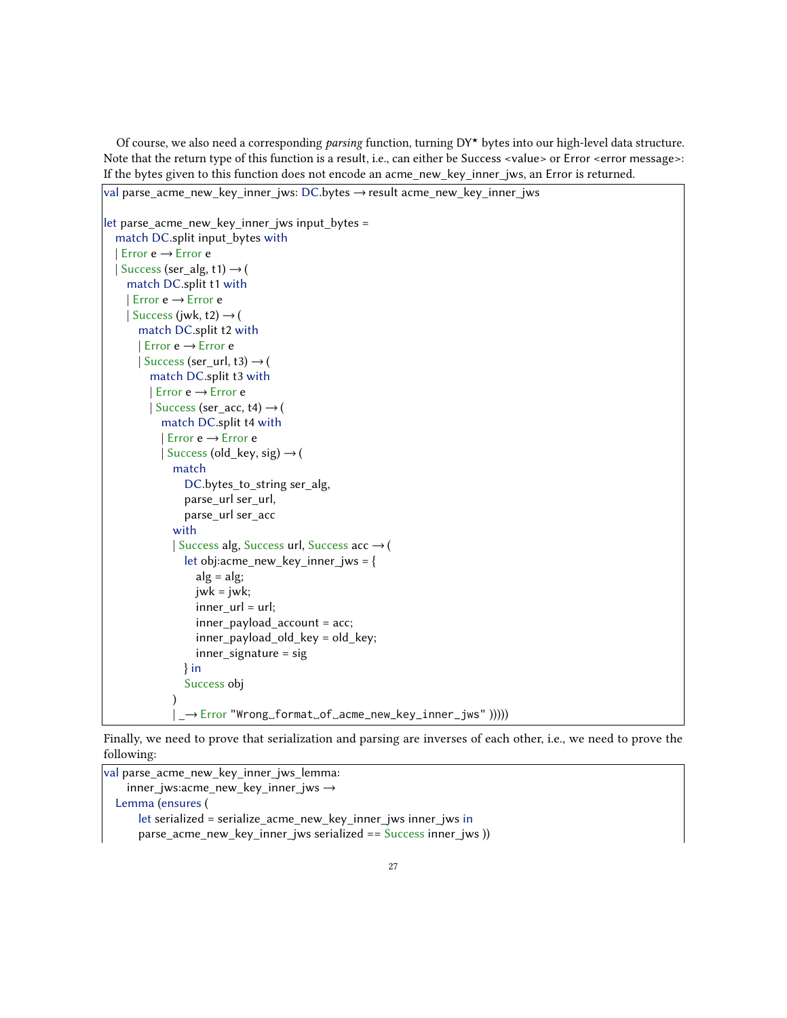Of course, we also need a corresponding parsing function, turning DY★ bytes into our high-level data structure. Note that the return type of this function is a result, i.e., can either be Success <value> or Error <error message>: If the bytes given to this function does not encode an acme\_new\_key\_inner\_jws, an Error is returned.

```
val parse_acme_new_key_inner_jws: DC.bytes \rightarrow result acme_new_key_inner_jws
let parse acme new key inner jws input bytes =
  match DC.split input_bytes with
  | Error e →Error e
  | Success (ser_alg, t1) \rightarrow (
    match DC.split t1 with
    | Error e →Error e
    | Success (jwk, t2) \rightarrow (
      match DC.split t2 with
       | Error e →Error e
      | Success (ser_url, t3) \rightarrow (
         match DC.split t3 with
         | Error e →Error e
         | Success (ser_acc, t4) \rightarrow (
           match DC.split t4 with
           | Error e →Error e
           | Success (old_key, sig) \rightarrow (
             match
                DC.bytes_to_string ser_alg,
                parse_url ser_url,
                parse_url ser_acc
              with
             | Success alg, Success url, Success acc →(
                let obj:acme_new_key_inner_jws = {
                  alg = alg;jwk = jwk;
                  inner_url = url;inner_payload_account = acc;
                  inner_payload_old_key = old_key;
                  inner_signature = sig
                } in
                Success obj
              )
              | _→Error "Wrong␣format␣of␣acme_new_key_inner_jws" )))))
```
Finally, we need to prove that serialization and parsing are inverses of each other, i.e., we need to prove the following:

 $\sqrt{v}$ val parse\_acme\_new\_key\_inner\_jws\_lemma: inner\_jws:acme\_new\_key\_inner\_jws  $\rightarrow$ Lemma (ensures ( let serialized = serialize\_acme\_new\_key\_inner\_jws inner\_jws in parse\_acme\_new\_key\_inner\_jws serialized ==  $Success$  inner\_jws ))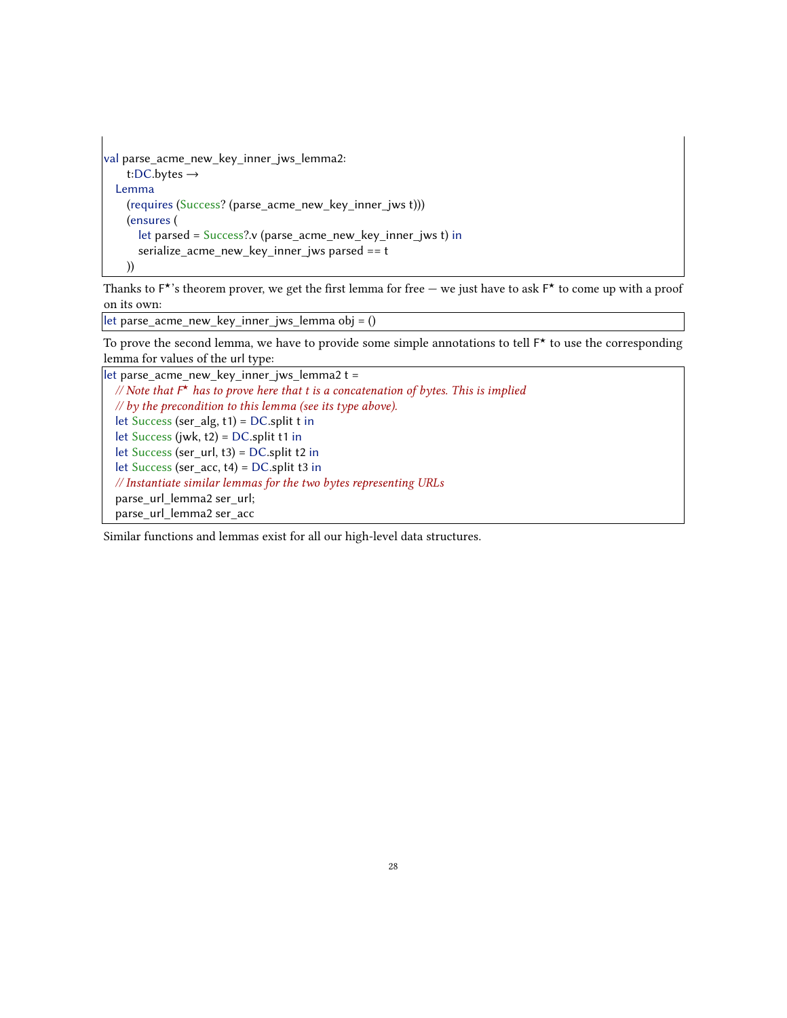```
val parse_acme_new_key_inner_jws_lemma2:
   t:DC.bytes \rightarrowLemma
    (requires (Success? (parse_acme_new_key_inner_jws t)))
    (ensures (
      let parsed = Success? \cdot v (parse_acme_new_key_inner_jws t) in
      serialize acme new key inner jws parsed == t))
```
Thanks to  $F^{\star}$ 's theorem prover, we get the first lemma for free  $-$  we just have to ask  $F^{\star}$  to come up with a proof on its own:

 $\vert$ let parse\_acme\_new\_key\_inner\_jws\_lemma obj = ()

To prove the second lemma, we have to provide some simple annotations to tell  $F^{\star}$  to use the corresponding lemma for values of the url type:

let parse\_acme\_new\_key\_inner\_jws\_lemma2 t = // Note that  $F^{\star}$  has to prove here that t is a concatenation of bytes. This is implied  $\frac{1}{\sqrt{2}}$  by the precondition to this lemma (see its type above). let Success (ser\_alg,  $t1$ ) = DC.split t in let Success (jwk, t2) = DC.split t1 in let Success (ser\_url, t3) = DC.split t2 in let Success (ser\_acc, t4) = DC.split t3 in // Instantiate similar lemmas for the two bytes representing URLs parse url lemma2 ser url; parse\_url\_lemma2 ser\_acc

Similar functions and lemmas exist for all our high-level data structures.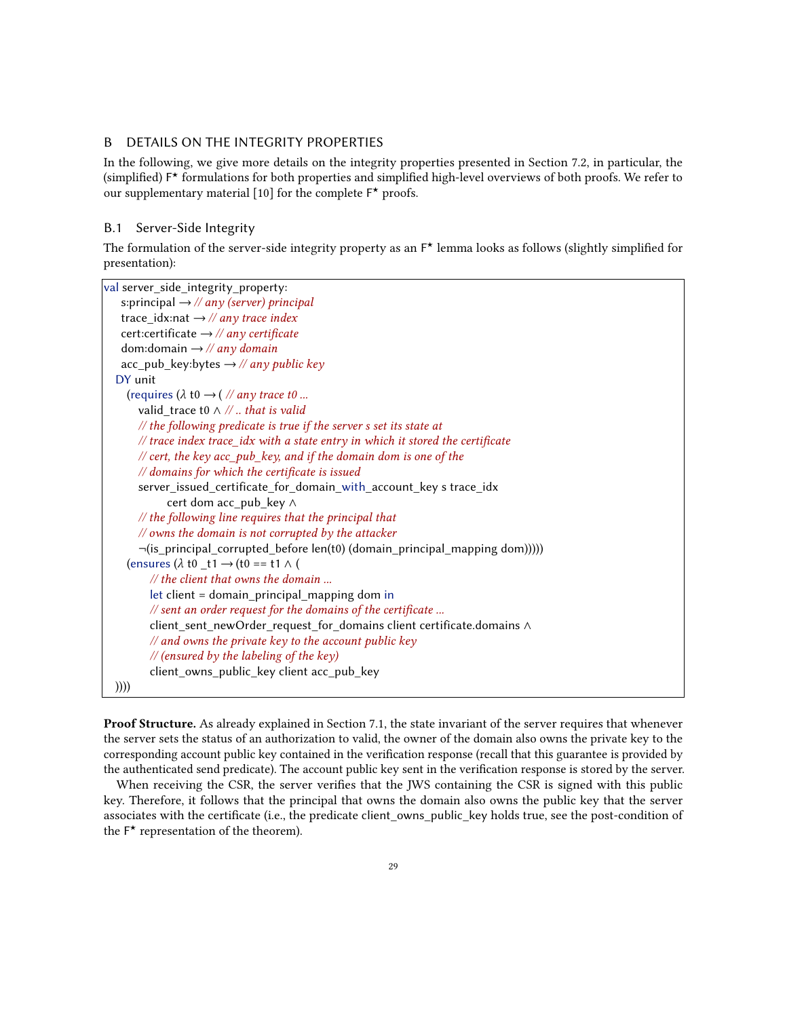## <span id="page-28-0"></span>B DETAILS ON THE INTEGRITY PROPERTIES

In the following, we give more details on the integrity properties presented in Section [7.2,](#page-19-3) in particular, the (simplified) F ★ formulations for both properties and simplified high-level overviews of both proofs. We refer to our supplementary material [\[10\]](#page-22-10) for the complete  $F^{\star}$  proofs.

## B.1 Server-Side Integrity

The formulation of the server-side integrity property as an  $F^{\star}$  lemma looks as follows (slightly simplified for presentation):

| val server_side_integrity_property:                                              |
|----------------------------------------------------------------------------------|
| s:principal $\rightarrow$ // any (server) principal                              |
| trace_idx:nat $\rightarrow$ // any trace index                                   |
| cert:certificate $\rightarrow$ // any certificate                                |
| dom: domain $\rightarrow$ // any domain                                          |
| $\text{acc}_p$ ub_key:bytes $\rightarrow$ // any public key                      |
| DY unit                                                                          |
| (requires ( $\lambda$ t0 $\rightarrow$ ( // any trace t0                         |
| valid trace to $\wedge$ //  that is valid                                        |
| // the following predicate is true if the server s set its state at              |
| // trace index trace_idx with a state entry in which it stored the certificate   |
| $\ell$ cert, the key acc_pub_key, and if the domain dom is one of the            |
| // domains for which the certificate is issued                                   |
| server_issued_certificate_for_domain_with_account_key s trace_idx                |
| cert dom acc_pub_key ∧                                                           |
| // the following line requires that the principal that                           |
| // owns the domain is not corrupted by the attacker                              |
| $\neg$ (is_principal_corrupted_before len(t0) (domain_principal_mapping dom))))) |
| (ensures $(\lambda \text{ t0 } t1 \rightarrow (t0 == t1 \land t))$               |
| $\mathcal{U}$ the client that owns the domain                                    |
| let client = domain_principal_mapping dom in                                     |
| // sent an order request for the domains of the certificate                      |
| client_sent_newOrder_request_for_domains client certificate.domains A            |
| // and owns the private key to the account public key                            |
| // (ensured by the labeling of the key)                                          |
| client_owns_public_key client acc_pub_key                                        |
| ))))                                                                             |

Proof Structure. As already explained in Section [7.1,](#page-18-4) the state invariant of the server requires that whenever the server sets the status of an authorization to valid, the owner of the domain also owns the private key to the corresponding account public key contained in the verification response (recall that this guarantee is provided by the authenticated send predicate). The account public key sent in the verification response is stored by the server.

When receiving the CSR, the server verifies that the JWS containing the CSR is signed with this public key. Therefore, it follows that the principal that owns the domain also owns the public key that the server associates with the certificate (i.e., the predicate client\_owns\_public\_key holds true, see the post-condition of the F ★ representation of the theorem).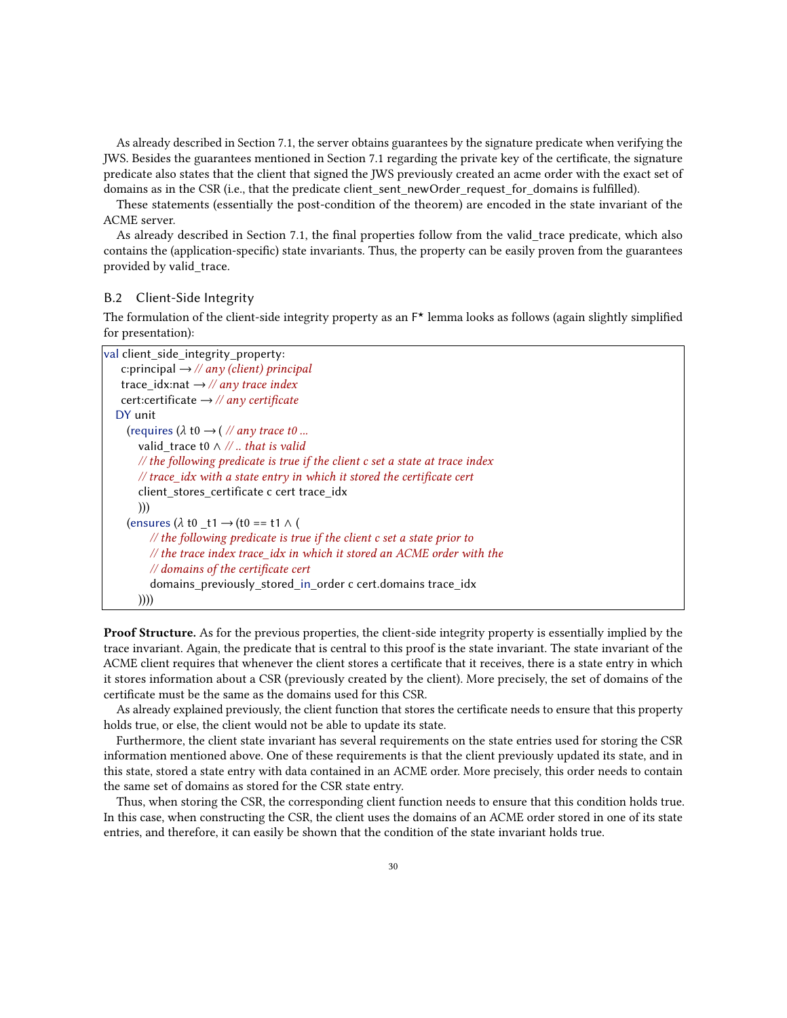As already described in Section [7.1,](#page-18-4) the server obtains guarantees by the signature predicate when verifying the JWS. Besides the guarantees mentioned in Section [7.1](#page-18-4) regarding the private key of the certificate, the signature predicate also states that the client that signed the JWS previously created an acme order with the exact set of domains as in the CSR (i.e., that the predicate client\_sent\_newOrder\_request\_for\_domains is fulfilled).

These statements (essentially the post-condition of the theorem) are encoded in the state invariant of the ACME server.

As already described in Section [7.1,](#page-18-4) the final properties follow from the valid\_trace predicate, which also contains the (application-specific) state invariants. Thus, the property can be easily proven from the guarantees provided by valid\_trace.

#### B.2 Client-Side Integrity

The formulation of the client-side integrity property as an  $F^{\star}$  lemma looks as follows (again slightly simplified for presentation):

| val client_side_integrity_property:                                                      |
|------------------------------------------------------------------------------------------|
| c:principal $\rightarrow$ // any (client) principal                                      |
| trace idx:nat $\rightarrow$ // any trace index                                           |
| cert:certificate $\rightarrow$ // any certificate                                        |
| DY unit                                                                                  |
| (requires ( $\lambda$ t0 $\rightarrow$ ( // any trace t0                                 |
| valid trace to $\wedge$ //  that is valid                                                |
| $\mathcal{N}$ the following predicate is true if the client c set a state at trace index |
| // trace_idx with a state entry in which it stored the certificate cert                  |
| client stores certificate c cert trace idx                                               |
| ))                                                                                       |
| (ensures $(\lambda \text{ t0 } t1 \rightarrow (t0 == t1 \land t))$                       |
| $\mathcal{N}$ the following predicate is true if the client c set a state prior to       |
| $\frac{1}{\sqrt{1}}$ the trace index trace idx in which it stored an ACME order with the |
| $\mathcal{N}$ domains of the certificate cert                                            |
| domains previously stored in order c cert.domains trace idx                              |
| ))))                                                                                     |

**Proof Structure.** As for the previous properties, the client-side integrity property is essentially implied by the trace invariant. Again, the predicate that is central to this proof is the state invariant. The state invariant of the ACME client requires that whenever the client stores a certificate that it receives, there is a state entry in which it stores information about a CSR (previously created by the client). More precisely, the set of domains of the certificate must be the same as the domains used for this CSR.

As already explained previously, the client function that stores the certificate needs to ensure that this property holds true, or else, the client would not be able to update its state.

Furthermore, the client state invariant has several requirements on the state entries used for storing the CSR information mentioned above. One of these requirements is that the client previously updated its state, and in this state, stored a state entry with data contained in an ACME order. More precisely, this order needs to contain the same set of domains as stored for the CSR state entry.

Thus, when storing the CSR, the corresponding client function needs to ensure that this condition holds true. In this case, when constructing the CSR, the client uses the domains of an ACME order stored in one of its state entries, and therefore, it can easily be shown that the condition of the state invariant holds true.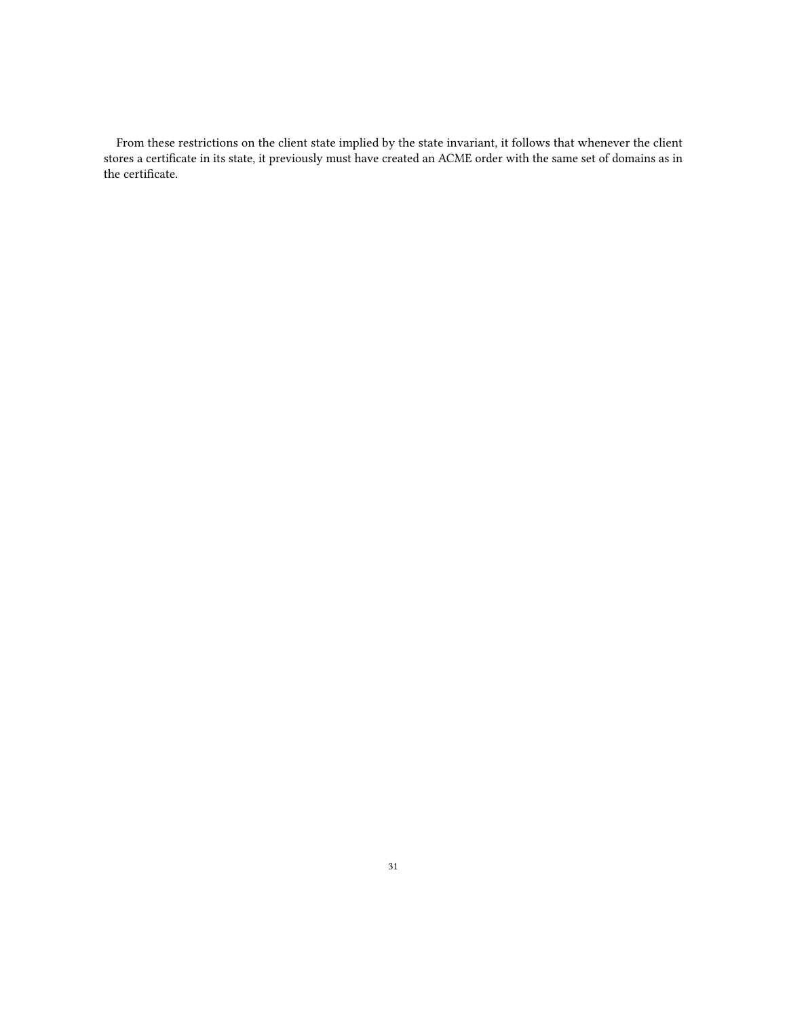From these restrictions on the client state implied by the state invariant, it follows that whenever the client stores a certificate in its state, it previously must have created an ACME order with the same set of domains as in the certificate.